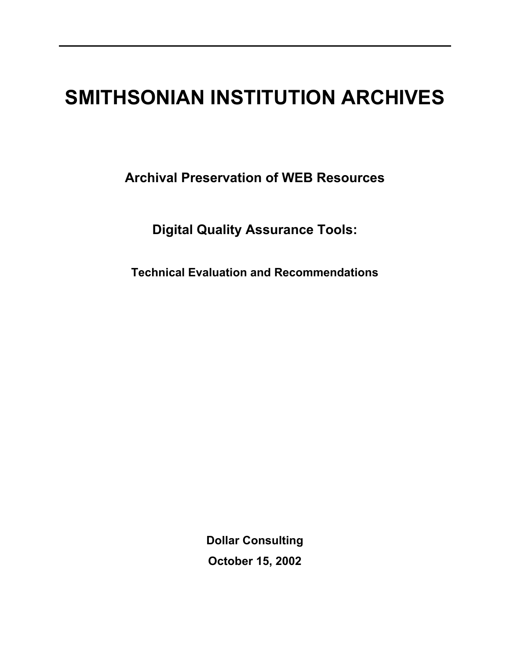# **SMITHSONIAN INSTITUTION ARCHIVES**

**Archival Preservation of WEB Resources** 

**Digital Quality Assurance Tools:** 

**Technical Evaluation and Recommendations** 

**Dollar Consulting October 15, 2002**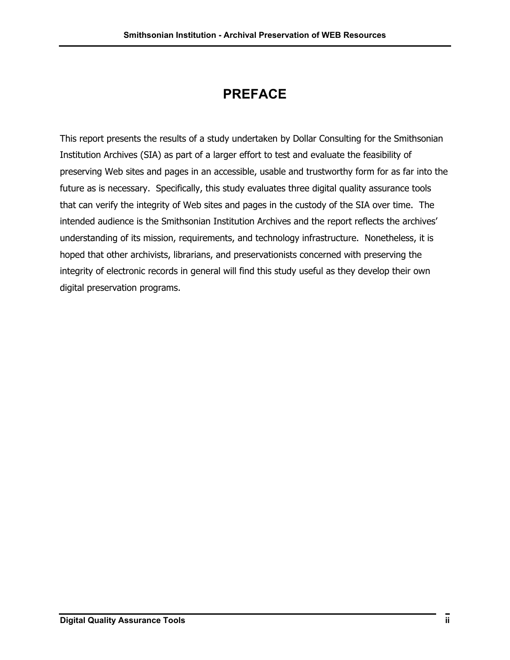## **PREFACE**

This report presents the results of a study undertaken by Dollar Consulting for the Smithsonian Institution Archives (SIA) as part of a larger effort to test and evaluate the feasibility of preserving Web sites and pages in an accessible, usable and trustworthy form for as far into the future as is necessary. Specifically, this study evaluates three digital quality assurance tools that can verify the integrity of Web sites and pages in the custody of the SIA over time. The intended audience is the Smithsonian Institution Archives and the report reflects the archives' understanding of its mission, requirements, and technology infrastructure. Nonetheless, it is hoped that other archivists, librarians, and preservationists concerned with preserving the integrity of electronic records in general will find this study useful as they develop their own digital preservation programs.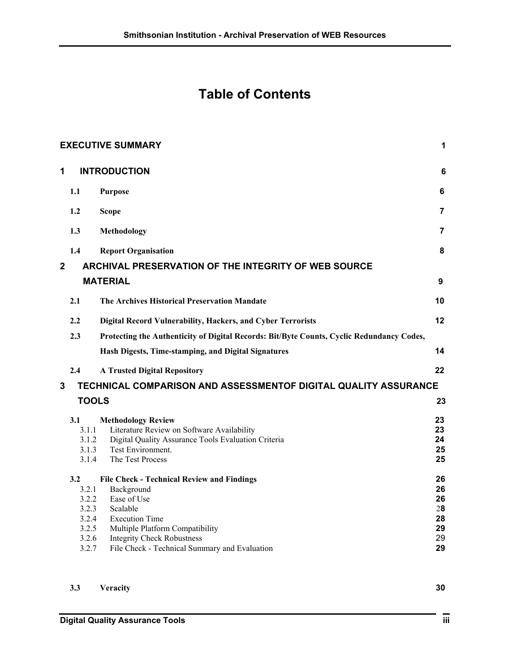## **Table of Contents**

|                |                | <b>EXECUTIVE SUMMARY</b>                                                                  | 1              |
|----------------|----------------|-------------------------------------------------------------------------------------------|----------------|
| 1              |                | <b>INTRODUCTION</b>                                                                       | 6              |
|                | 1.1            | <b>Purpose</b>                                                                            | 6              |
|                | 1.2            | <b>Scope</b>                                                                              | $\overline{7}$ |
|                | 1.3            | Methodology                                                                               | $\overline{7}$ |
|                | 1.4            | <b>Report Organisation</b>                                                                | 8              |
| $\overline{2}$ |                | <b>ARCHIVAL PRESERVATION OF THE INTEGRITY OF WEB SOURCE</b>                               |                |
|                |                | <b>MATERIAL</b>                                                                           | 9              |
|                | 2.1            | The Archives Historical Preservation Mandate                                              | 10             |
|                | $2.2\,$        | Digital Record Vulnerability, Hackers, and Cyber Terrorists                               | 12             |
|                | 2.3            | Protecting the Authenticity of Digital Records: Bit/Byte Counts, Cyclic Redundancy Codes, |                |
|                |                | Hash Digests, Time-stamping, and Digital Signatures                                       | 14             |
|                | 2.4            | <b>A Trusted Digital Repository</b>                                                       | 22             |
| 3              |                | TECHNICAL COMPARISON AND ASSESSMENTOF DIGITAL QUALITY ASSURANCE                           |                |
|                | <b>TOOLS</b>   |                                                                                           | 23             |
|                | 3.1            | <b>Methodology Review</b>                                                                 | 23             |
|                | 3.1.1          | Literature Review on Software Availability                                                | 23             |
|                | 3.1.2<br>3.1.3 | Digital Quality Assurance Tools Evaluation Criteria<br>Test Environment.                  | 24<br>25       |
|                | 3.1.4          | The Test Process                                                                          | 25             |
|                | 3.2            | <b>File Check - Technical Review and Findings</b>                                         | 26             |
|                | 3.2.1          | Background                                                                                | 26             |
|                | 3.2.2<br>3.2.3 | Ease of Use<br>Scalable                                                                   | 26<br>28       |
|                | 3.2.4          | <b>Execution Time</b>                                                                     | 28             |
|                | 3.2.5          | Multiple Platform Compatibility                                                           | 29             |
|                | 3.2.6          | <b>Integrity Check Robustness</b>                                                         | 29             |
|                | 3.2.7          | File Check - Technical Summary and Evaluation                                             | 29             |

**3.3 Veracity 30**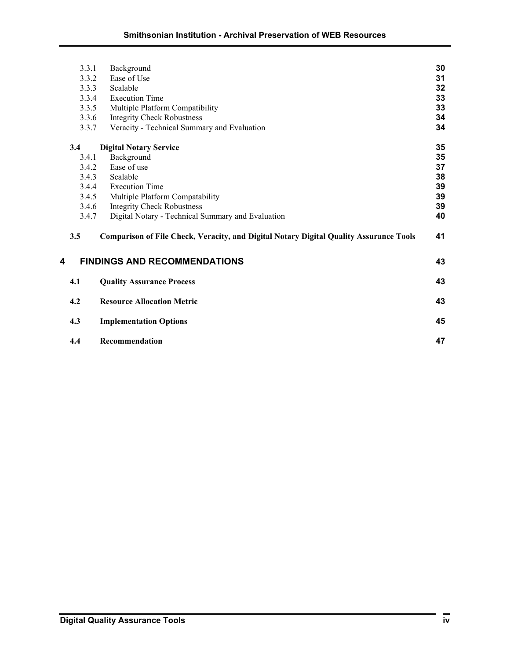|   | 3.3.1 | Background                                                                             | 30 |
|---|-------|----------------------------------------------------------------------------------------|----|
|   | 3.3.2 | Ease of Use                                                                            | 31 |
|   | 3.3.3 | Scalable                                                                               | 32 |
|   | 3.3.4 | <b>Execution Time</b>                                                                  | 33 |
|   | 3.3.5 | Multiple Platform Compatibility                                                        | 33 |
|   | 3.3.6 | <b>Integrity Check Robustness</b>                                                      | 34 |
|   | 3.3.7 | Veracity - Technical Summary and Evaluation                                            | 34 |
|   | 3.4   | <b>Digital Notary Service</b>                                                          | 35 |
|   | 3.4.1 | Background                                                                             | 35 |
|   | 3.4.2 | Ease of use                                                                            | 37 |
|   | 3.4.3 | Scalable                                                                               | 38 |
|   | 3.4.4 | <b>Execution Time</b>                                                                  | 39 |
|   | 3.4.5 | Multiple Platform Compatability                                                        | 39 |
|   | 3.4.6 | <b>Integrity Check Robustness</b>                                                      | 39 |
|   | 3.4.7 | Digital Notary - Technical Summary and Evaluation                                      | 40 |
|   | 3.5   | Comparison of File Check, Veracity, and Digital Notary Digital Quality Assurance Tools | 41 |
| 4 |       | <b>FINDINGS AND RECOMMENDATIONS</b>                                                    | 43 |
|   | 4.1   | <b>Quality Assurance Process</b>                                                       | 43 |
|   | 4.2   | <b>Resource Allocation Metric</b>                                                      | 43 |
|   | 4.3   | <b>Implementation Options</b>                                                          | 45 |
|   | 4.4   | Recommendation                                                                         | 47 |
|   |       |                                                                                        |    |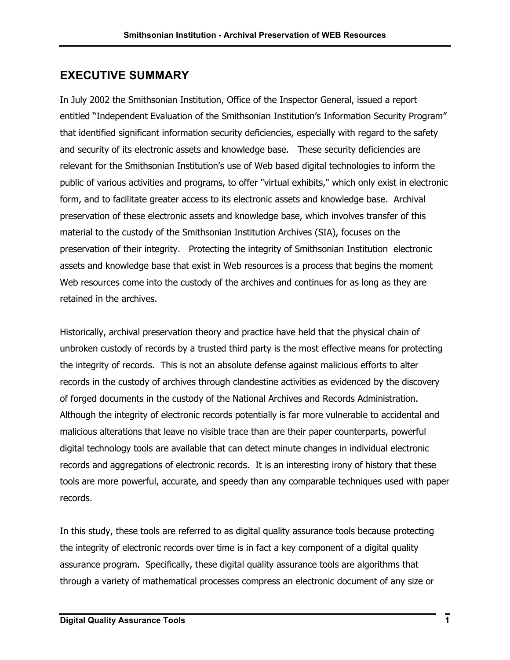## **EXECUTIVE SUMMARY**

In July 2002 the Smithsonian Institution, Office of the Inspector General, issued a report entitled "Independent Evaluation of the Smithsonian Institution's Information Security Program" that identified significant information security deficiencies, especially with regard to the safety and security of its electronic assets and knowledge base. These security deficiencies are relevant for the Smithsonian Institution's use of Web based digital technologies to inform the public of various activities and programs, to offer "virtual exhibits," which only exist in electronic form, and to facilitate greater access to its electronic assets and knowledge base. Archival preservation of these electronic assets and knowledge base, which involves transfer of this material to the custody of the Smithsonian Institution Archives (SIA), focuses on the preservation of their integrity. Protecting the integrity of Smithsonian Institution electronic assets and knowledge base that exist in Web resources is a process that begins the moment Web resources come into the custody of the archives and continues for as long as they are retained in the archives.

Historically, archival preservation theory and practice have held that the physical chain of unbroken custody of records by a trusted third party is the most effective means for protecting the integrity of records. This is not an absolute defense against malicious efforts to alter records in the custody of archives through clandestine activities as evidenced by the discovery of forged documents in the custody of the National Archives and Records Administration. Although the integrity of electronic records potentially is far more vulnerable to accidental and malicious alterations that leave no visible trace than are their paper counterparts, powerful digital technology tools are available that can detect minute changes in individual electronic records and aggregations of electronic records. It is an interesting irony of history that these tools are more powerful, accurate, and speedy than any comparable techniques used with paper records.

In this study, these tools are referred to as digital quality assurance tools because protecting the integrity of electronic records over time is in fact a key component of a digital quality assurance program. Specifically, these digital quality assurance tools are algorithms that through a variety of mathematical processes compress an electronic document of any size or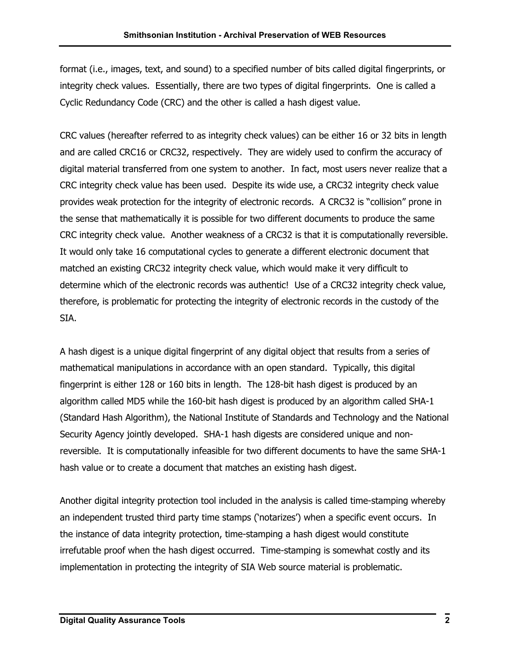format (i.e., images, text, and sound) to a specified number of bits called digital fingerprints, or integrity check values. Essentially, there are two types of digital fingerprints. One is called a Cyclic Redundancy Code (CRC) and the other is called a hash digest value.

CRC values (hereafter referred to as integrity check values) can be either 16 or 32 bits in length and are called CRC16 or CRC32, respectively. They are widely used to confirm the accuracy of digital material transferred from one system to another. In fact, most users never realize that a CRC integrity check value has been used. Despite its wide use, a CRC32 integrity check value provides weak protection for the integrity of electronic records. A CRC32 is "collision" prone in the sense that mathematically it is possible for two different documents to produce the same CRC integrity check value. Another weakness of a CRC32 is that it is computationally reversible. It would only take 16 computational cycles to generate a different electronic document that matched an existing CRC32 integrity check value, which would make it very difficult to determine which of the electronic records was authentic! Use of a CRC32 integrity check value, therefore, is problematic for protecting the integrity of electronic records in the custody of the SIA.

A hash digest is a unique digital fingerprint of any digital object that results from a series of mathematical manipulations in accordance with an open standard. Typically, this digital fingerprint is either 128 or 160 bits in length. The 128-bit hash digest is produced by an algorithm called MD5 while the 160-bit hash digest is produced by an algorithm called SHA-1 (Standard Hash Algorithm), the National Institute of Standards and Technology and the National Security Agency jointly developed. SHA-1 hash digests are considered unique and nonreversible. It is computationally infeasible for two different documents to have the same SHA-1 hash value or to create a document that matches an existing hash digest.

Another digital integrity protection tool included in the analysis is called time-stamping whereby an independent trusted third party time stamps ('notarizes') when a specific event occurs. In the instance of data integrity protection, time-stamping a hash digest would constitute irrefutable proof when the hash digest occurred. Time-stamping is somewhat costly and its implementation in protecting the integrity of SIA Web source material is problematic.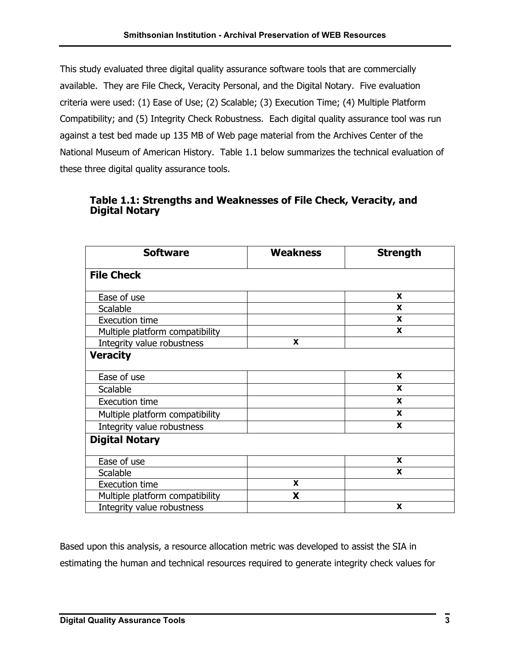This study evaluated three digital quality assurance software tools that are commercially available. They are File Check, Veracity Personal, and the Digital Notary. Five evaluation criteria were used: (1) Ease of Use; (2) Scalable; (3) Execution Time; (4) Multiple Platform Compatibility; and (5) Integrity Check Robustness. Each digital quality assurance tool was run against a test bed made up 135 MB of Web page material from the Archives Center of the National Museum of American History. Table 1.1 below summarizes the technical evaluation of these three digital quality assurance tools.

#### **Table 1.1: Strengths and Weaknesses of File Check, Veracity, and Digital Notary**

| <b>Software</b>                 | <b>Weakness</b> | <b>Strength</b> |
|---------------------------------|-----------------|-----------------|
| <b>File Check</b>               |                 |                 |
| Ease of use                     |                 | X               |
| Scalable                        |                 | X               |
| <b>Execution time</b>           |                 | X               |
| Multiple platform compatibility |                 | X               |
| Integrity value robustness      | X               |                 |
| <b>Veracity</b>                 |                 |                 |
| Ease of use                     |                 | X               |
| Scalable                        |                 | X               |
| <b>Execution time</b>           |                 | X               |
| Multiple platform compatibility |                 | X               |
| Integrity value robustness      |                 | X               |
| <b>Digital Notary</b>           |                 |                 |
| Ease of use                     |                 | X               |
| Scalable                        |                 | X               |
| <b>Execution time</b>           | X               |                 |
| Multiple platform compatibility | X               |                 |
| Integrity value robustness      |                 | X               |

Based upon this analysis, a resource allocation metric was developed to assist the SIA in estimating the human and technical resources required to generate integrity check values for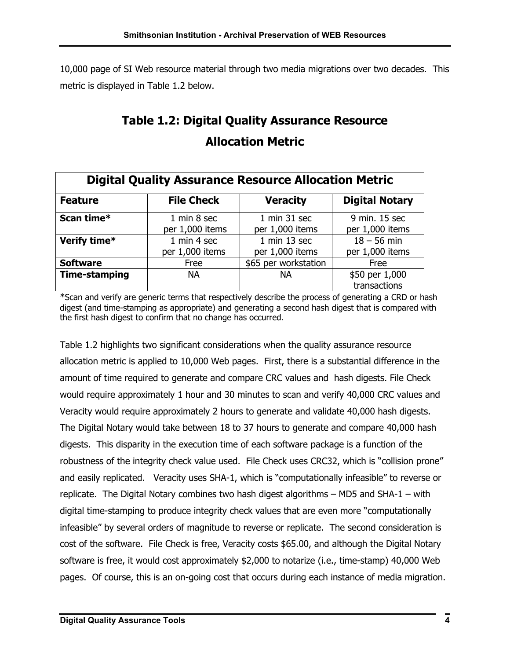10,000 page of SI Web resource material through two media migrations over two decades. This metric is displayed in Table 1.2 below.

## **Table 1.2: Digital Quality Assurance Resource Allocation Metric**

| <b>Digital Quality Assurance Resource Allocation Metric</b> |                                |                                     |                                  |  |  |  |  |
|-------------------------------------------------------------|--------------------------------|-------------------------------------|----------------------------------|--|--|--|--|
| <b>Feature</b>                                              | <b>File Check</b>              | <b>Veracity</b>                     | <b>Digital Notary</b>            |  |  |  |  |
| Scan time*                                                  | 1 min 8 sec<br>per 1,000 items | 1 min 31 sec<br>per 1,000 items     | 9 min. 15 sec<br>per 1,000 items |  |  |  |  |
| Verify time*                                                | 1 min 4 sec<br>per 1,000 items | $1$ min $13$ sec<br>per 1,000 items | $18 - 56$ min<br>per 1,000 items |  |  |  |  |
| <b>Software</b>                                             | Free                           | \$65 per workstation                | Free                             |  |  |  |  |
| <b>Time-stamping</b>                                        | <b>NA</b>                      | <b>NA</b>                           | \$50 per 1,000<br>transactions   |  |  |  |  |

\*Scan and verify are generic terms that respectively describe the process of generating a CRD or hash digest (and time-stamping as appropriate) and generating a second hash digest that is compared with the first hash digest to confirm that no change has occurred.

Table 1.2 highlights two significant considerations when the quality assurance resource allocation metric is applied to 10,000 Web pages. First, there is a substantial difference in the amount of time required to generate and compare CRC values and hash digests. File Check would require approximately 1 hour and 30 minutes to scan and verify 40,000 CRC values and Veracity would require approximately 2 hours to generate and validate 40,000 hash digests. The Digital Notary would take between 18 to 37 hours to generate and compare 40,000 hash digests. This disparity in the execution time of each software package is a function of the robustness of the integrity check value used. File Check uses CRC32, which is "collision prone" and easily replicated. Veracity uses SHA-1, which is "computationally infeasible" to reverse or replicate. The Digital Notary combines two hash digest algorithms – MD5 and SHA-1 – with digital time-stamping to produce integrity check values that are even more "computationally infeasible" by several orders of magnitude to reverse or replicate. The second consideration is cost of the software. File Check is free, Veracity costs \$65.00, and although the Digital Notary software is free, it would cost approximately \$2,000 to notarize (i.e., time-stamp) 40,000 Web pages. Of course, this is an on-going cost that occurs during each instance of media migration.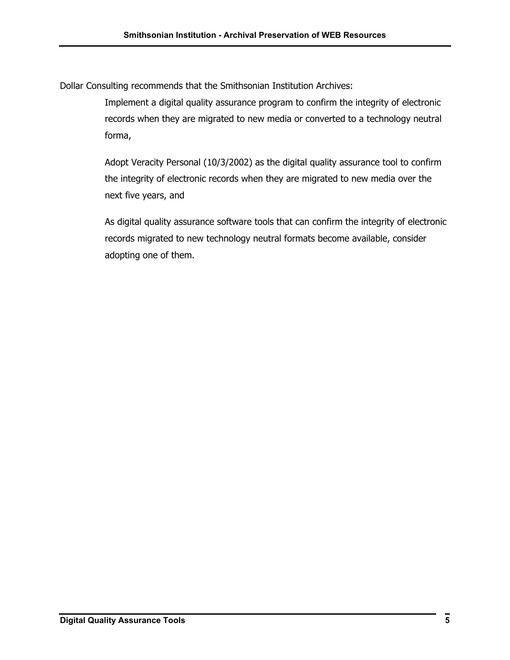Dollar Consulting recommends that the Smithsonian Institution Archives:

Implement a digital quality assurance program to confirm the integrity of electronic records when they are migrated to new media or converted to a technology neutral forma,

Adopt Veracity Personal (10/3/2002) as the digital quality assurance tool to confirm the integrity of electronic records when they are migrated to new media over the next five years, and

As digital quality assurance software tools that can confirm the integrity of electronic records migrated to new technology neutral formats become available, consider adopting one of them.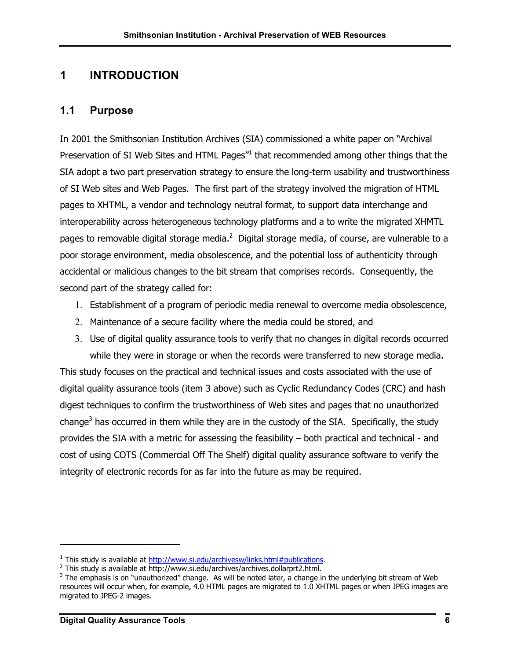## **1 INTRODUCTION**

### **1.1 Purpose**

In 2001 the Smithsonian Institution Archives (SIA) commissioned a white paper on "Archival Preservation of SI Web Sites and HTML Pages<sup>"[1](#page-9-0)</sup> that recommended among other things that the SIA adopt a two part preservation strategy to ensure the long-term usability and trustworthiness of SI Web sites and Web Pages. The first part of the strategy involved the migration of HTML pages to XHTML, a vendor and technology neutral format, to support data interchange and interoperability across heterogeneous technology platforms and a to write the migrated XHMTL pages to removable digital storage media.<sup>[2](#page-9-1)</sup> Digital storage media, of course, are vulnerable to a poor storage environment, media obsolescence, and the potential loss of authenticity through accidental or malicious changes to the bit stream that comprises records. Consequently, the second part of the strategy called for:

- 1. Establishment of a program of periodic media renewal to overcome media obsolescence,
- 2. Maintenance of a secure facility where the media could be stored, and
- 3. Use of digital quality assurance tools to verify that no changes in digital records occurred while they were in storage or when the records were transferred to new storage media.

This study focuses on the practical and technical issues and costs associated with the use of digital quality assurance tools (item 3 above) such as Cyclic Redundancy Codes (CRC) and hash digest techniques to confirm the trustworthiness of Web sites and pages that no unauthorized change<sup>[3](#page-9-2)</sup> has occurred in them while they are in the custody of the SIA. Specifically, the study provides the SIA with a metric for assessing the feasibility – both practical and technical - and cost of using COTS (Commercial Off The Shelf) digital quality assurance software to verify the integrity of electronic records for as far into the future as may be required.

<span id="page-9-0"></span>

<span id="page-9-1"></span><sup>&</sup>lt;sup>1</sup> This study is available at <u>[http://www.si.edu/archivesw/links.html#publications](http://www.si.edu/archivesw/links.html)</u>.<br><sup>2</sup> This study is available at http://www.si.edu/archives/archives.dollarprt2.html.

<span id="page-9-2"></span> $3$  The emphasis is on "unauthorized" change. As will be noted later, a change in the underlying bit stream of Web resources will occur when, for example, 4.0 HTML pages are migrated to 1.0 XHTML pages or when JPEG images are migrated to JPEG-2 images.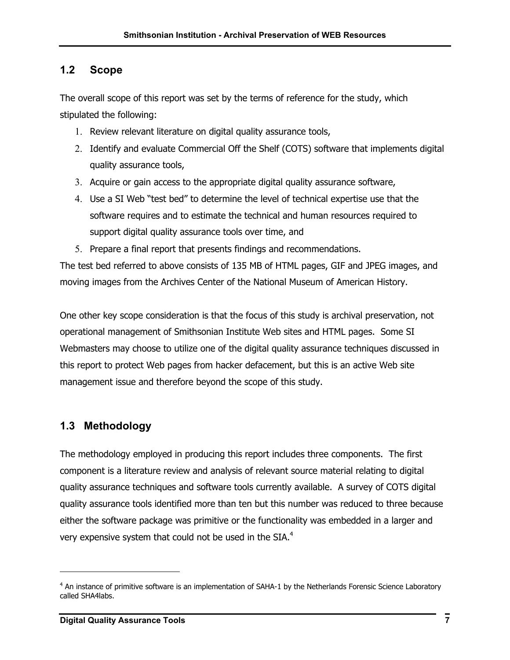## **1.2 Scope**

The overall scope of this report was set by the terms of reference for the study, which stipulated the following:

- 1. Review relevant literature on digital quality assurance tools,
- 2. Identify and evaluate Commercial Off the Shelf (COTS) software that implements digital quality assurance tools,
- 3. Acquire or gain access to the appropriate digital quality assurance software,
- 4. Use a SI Web "test bed" to determine the level of technical expertise use that the software requires and to estimate the technical and human resources required to support digital quality assurance tools over time, and
- 5. Prepare a final report that presents findings and recommendations.

The test bed referred to above consists of 135 MB of HTML pages, GIF and JPEG images, and moving images from the Archives Center of the National Museum of American History.

One other key scope consideration is that the focus of this study is archival preservation, not operational management of Smithsonian Institute Web sites and HTML pages. Some SI Webmasters may choose to utilize one of the digital quality assurance techniques discussed in this report to protect Web pages from hacker defacement, but this is an active Web site management issue and therefore beyond the scope of this study.

## **1.3 Methodology**

The methodology employed in producing this report includes three components. The first component is a literature review and analysis of relevant source material relating to digital quality assurance techniques and software tools currently available. A survey of COTS digital quality assurance tools identified more than ten but this number was reduced to three because either the software package was primitive or the functionality was embedded in a larger and very expensive system that could not be used in the SIA. $4$ 

<span id="page-10-0"></span><sup>&</sup>lt;sup>4</sup> An instance of primitive software is an implementation of SAHA-1 by the Netherlands Forensic Science Laboratory called SHA4labs.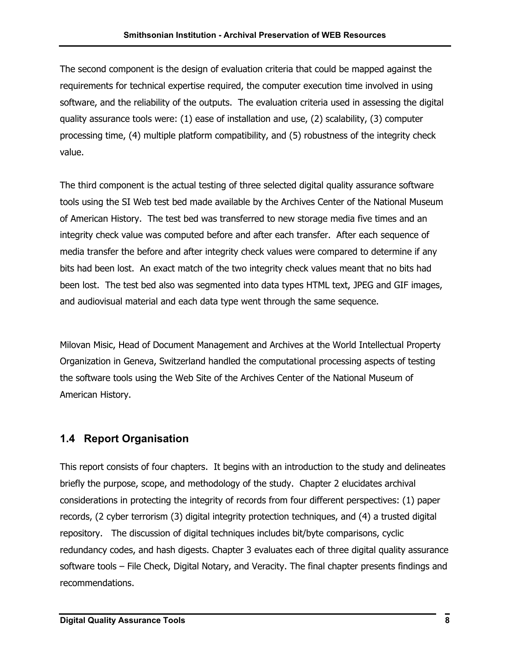The second component is the design of evaluation criteria that could be mapped against the requirements for technical expertise required, the computer execution time involved in using software, and the reliability of the outputs. The evaluation criteria used in assessing the digital quality assurance tools were: (1) ease of installation and use, (2) scalability, (3) computer processing time, (4) multiple platform compatibility, and (5) robustness of the integrity check value.

The third component is the actual testing of three selected digital quality assurance software tools using the SI Web test bed made available by the Archives Center of the National Museum of American History. The test bed was transferred to new storage media five times and an integrity check value was computed before and after each transfer. After each sequence of media transfer the before and after integrity check values were compared to determine if any bits had been lost. An exact match of the two integrity check values meant that no bits had been lost. The test bed also was segmented into data types HTML text, JPEG and GIF images, and audiovisual material and each data type went through the same sequence.

Milovan Misic, Head of Document Management and Archives at the World Intellectual Property Organization in Geneva, Switzerland handled the computational processing aspects of testing the software tools using the Web Site of the Archives Center of the National Museum of American History.

## **1.4 Report Organisation**

This report consists of four chapters. It begins with an introduction to the study and delineates briefly the purpose, scope, and methodology of the study. Chapter 2 elucidates archival considerations in protecting the integrity of records from four different perspectives: (1) paper records, (2 cyber terrorism (3) digital integrity protection techniques, and (4) a trusted digital repository. The discussion of digital techniques includes bit/byte comparisons, cyclic redundancy codes, and hash digests. Chapter 3 evaluates each of three digital quality assurance software tools – File Check, Digital Notary, and Veracity. The final chapter presents findings and recommendations.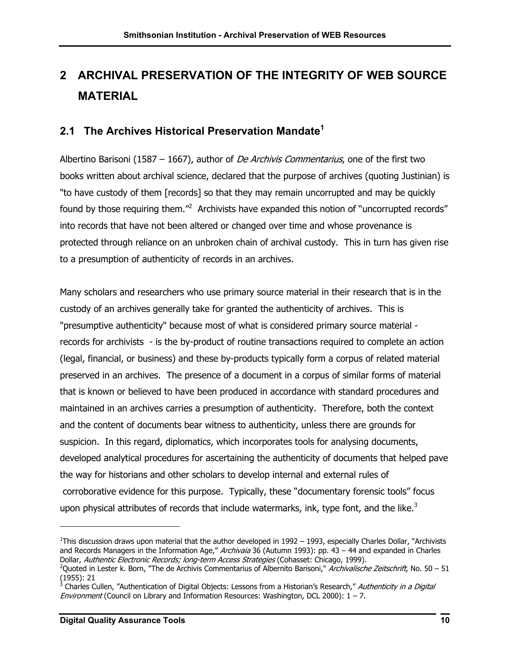## **2 ARCHIVAL PRESERVATION OF THE INTEGRITY OF WEB SOURCE MATERIAL**

## **2.1 The Archives Historical Preservation Mandate[1](#page-12-0)**

Albertino Barisoni (1587 – 1667), author of *De Archivis Commentarius*, one of the first two books written about archival science, declared that the purpose of archives (quoting Justinian) is "to have custody of them [records] so that they may remain uncorrupted and may be quickly found by those requiring them."<sup>[2](#page-12-1)</sup> Archivists have expanded this notion of "uncorrupted records" into records that have not been altered or changed over time and whose provenance is protected through reliance on an unbroken chain of archival custody. This in turn has given rise to a presumption of authenticity of records in an archives.

Many scholars and researchers who use primary source material in their research that is in the custody of an archives generally take for granted the authenticity of archives. This is "presumptive authenticity" because most of what is considered primary source material records for archivists - is the by-product of routine transactions required to complete an action (legal, financial, or business) and these by-products typically form a corpus of related material preserved in an archives. The presence of a document in a corpus of similar forms of material that is known or believed to have been produced in accordance with standard procedures and maintained in an archives carries a presumption of authenticity. Therefore, both the context and the content of documents bear witness to authenticity, unless there are grounds for suspicion. In this regard, diplomatics, which incorporates tools for analysing documents, developed analytical procedures for ascertaining the authenticity of documents that helped pave the way for historians and other scholars to develop internal and external rules of corroborative evidence for this purpose. Typically, these "documentary forensic tools" focus upon physical attributes of records that include watermarks, ink, type font, and the like. $3$ 

<span id="page-12-0"></span><sup>&</sup>lt;sup>1</sup>This discussion draws upon material that the author developed in 1992 – 1993, especially Charles Dollar, "Archivists and Records Managers in the Information Age," Archivaia 36 (Autumn 1993): pp. 43 – 44 and expanded in Charles Dollar, Authentic Electronic Records; long-term Access Strategies (Cohasset: Chicago, 1999).

<span id="page-12-1"></span><sup>&</sup>lt;sup>2</sup>Quoted in Lester k. Born, "The de Archivis Commentarius of Albernito Barisoni," *Archivalische Zeitschrift*, No. 50 – 51 (1955): 21

<span id="page-12-2"></span><sup>&</sup>lt;sup>3</sup> Charles Cullen, "Authentication of Digital Objects: Lessons from a Historian's Research," Authenticity in a Digital Environment (Council on Library and Information Resources: Washington, DCL 2000):  $1 - 7$ .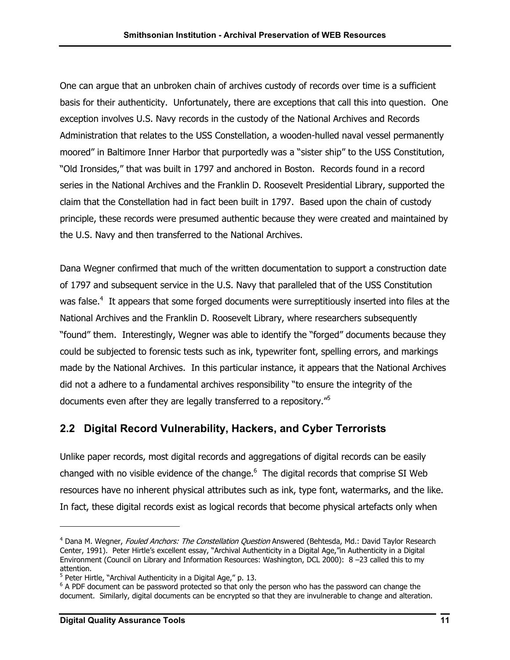One can argue that an unbroken chain of archives custody of records over time is a sufficient basis for their authenticity. Unfortunately, there are exceptions that call this into question. One exception involves U.S. Navy records in the custody of the National Archives and Records Administration that relates to the USS Constellation, a wooden-hulled naval vessel permanently moored" in Baltimore Inner Harbor that purportedly was a "sister ship" to the USS Constitution, "Old Ironsides," that was built in 1797 and anchored in Boston. Records found in a record series in the National Archives and the Franklin D. Roosevelt Presidential Library, supported the claim that the Constellation had in fact been built in 1797. Based upon the chain of custody principle, these records were presumed authentic because they were created and maintained by the U.S. Navy and then transferred to the National Archives.

Dana Wegner confirmed that much of the written documentation to support a construction date of 1797 and subsequent service in the U.S. Navy that paralleled that of the USS Constitution was false.<sup>4</sup> It appears that some forged documents were surreptitiously inserted into files at the National Archives and the Franklin D. Roosevelt Library, where researchers subsequently "found" them. Interestingly, Wegner was able to identify the "forged" documents because they could be subjected to forensic tests such as ink, typewriter font, spelling errors, and markings made by the National Archives. In this particular instance, it appears that the National Archives did not a adhere to a fundamental archives responsibility "to ensure the integrity of the documents even after they are legally transferred to a repository.["5](#page-13-1)

## **2.2 Digital Record Vulnerability, Hackers, and Cyber Terrorists**

Unlike paper records, most digital records and aggregations of digital records can be easily changed with no visible evidence of the change. $^6$  $^6$  The digital records that comprise SI Web resources have no inherent physical attributes such as ink, type font, watermarks, and the like. In fact, these digital records exist as logical records that become physical artefacts only when

<span id="page-13-0"></span><sup>&</sup>lt;sup>4</sup> Dana M. Wegner, *Fouled Anchors: The Constellation Question* Answered (Behtesda, Md.: David Taylor Research Center, 1991). Peter Hirtle's excellent essay, "Archival Authenticity in a Digital Age,"in Authenticity in a Digital Environment (Council on Library and Information Resources: Washington, DCL 2000): 8 –23 called this to my attention.

<span id="page-13-1"></span><sup>&</sup>lt;sup>5</sup> Peter Hirtle, "Archival Authenticity in a Digital Age," p. 13.

<span id="page-13-2"></span><sup>&</sup>lt;sup>6</sup> A PDF document can be password protected so that only the person who has the password can change the document. Similarly, digital documents can be encrypted so that they are invulnerable to change and alteration.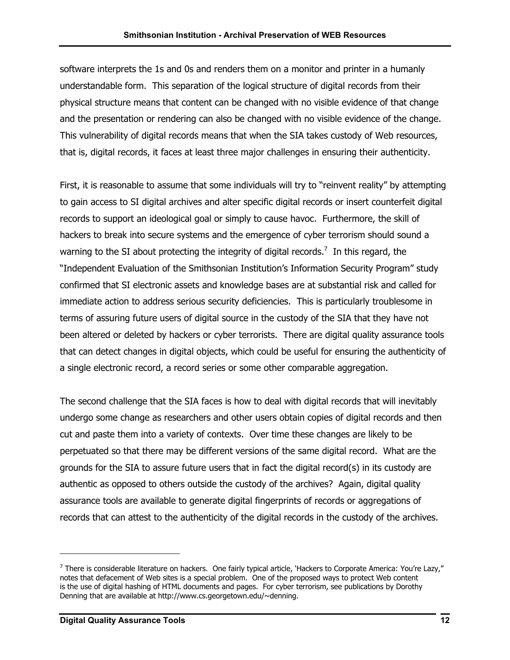software interprets the 1s and 0s and renders them on a monitor and printer in a humanly understandable form. This separation of the logical structure of digital records from their physical structure means that content can be changed with no visible evidence of that change and the presentation or rendering can also be changed with no visible evidence of the change. This vulnerability of digital records means that when the SIA takes custody of Web resources, that is, digital records, it faces at least three major challenges in ensuring their authenticity.

First, it is reasonable to assume that some individuals will try to "reinvent reality" by attempting to gain access to SI digital archives and alter specific digital records or insert counterfeit digital records to support an ideological goal or simply to cause havoc. Furthermore, the skill of hackers to break into secure systems and the emergence of cyber terrorism should sound a warning to the SI about protecting the integrity of digital records.<sup>7</sup> In this regard, the "Independent Evaluation of the Smithsonian Institution's Information Security Program" study confirmed that SI electronic assets and knowledge bases are at substantial risk and called for immediate action to address serious security deficiencies. This is particularly troublesome in terms of assuring future users of digital source in the custody of the SIA that they have not been altered or deleted by hackers or cyber terrorists. There are digital quality assurance tools that can detect changes in digital objects, which could be useful for ensuring the authenticity of a single electronic record, a record series or some other comparable aggregation.

The second challenge that the SIA faces is how to deal with digital records that will inevitably undergo some change as researchers and other users obtain copies of digital records and then cut and paste them into a variety of contexts. Over time these changes are likely to be perpetuated so that there may be different versions of the same digital record. What are the grounds for the SIA to assure future users that in fact the digital record(s) in its custody are authentic as opposed to others outside the custody of the archives? Again, digital quality assurance tools are available to generate digital fingerprints of records or aggregations of records that can attest to the authenticity of the digital records in the custody of the archives.

<span id="page-14-0"></span> $^7$  There is considerable literature on hackers. One fairly typical article, 'Hackers to Corporate America: You're Lazy," notes that defacement of Web sites is a special problem. One of the proposed ways to protect Web content is the use of digital hashing of HTML documents and pages. For cyber terrorism, see publications by Dorothy Denning that are available at http://www.cs.georgetown.edu/~denning.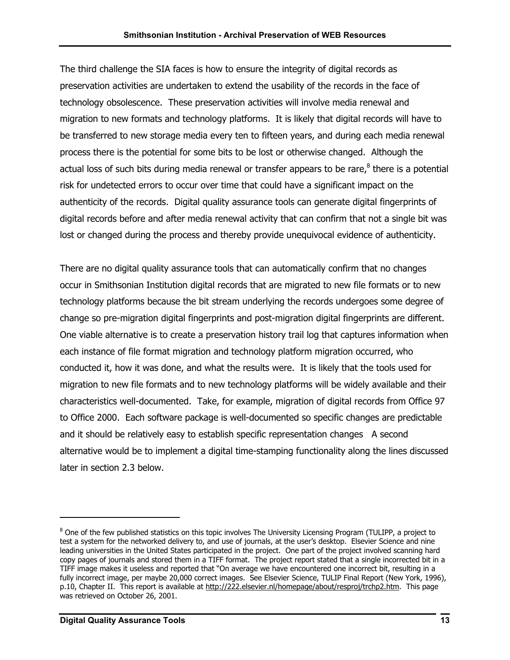The third challenge the SIA faces is how to ensure the integrity of digital records as preservation activities are undertaken to extend the usability of the records in the face of technology obsolescence. These preservation activities will involve media renewal and migration to new formats and technology platforms. It is likely that digital records will have to be transferred to new storage media every ten to fifteen years, and during each media renewal process there is the potential for some bits to be lost or otherwise changed. Although the actual loss of such bits during media renewal or transfer appears to be rare, $^8$  $^8$  there is a potential risk for undetected errors to occur over time that could have a significant impact on the authenticity of the records. Digital quality assurance tools can generate digital fingerprints of digital records before and after media renewal activity that can confirm that not a single bit was lost or changed during the process and thereby provide unequivocal evidence of authenticity.

There are no digital quality assurance tools that can automatically confirm that no changes occur in Smithsonian Institution digital records that are migrated to new file formats or to new technology platforms because the bit stream underlying the records undergoes some degree of change so pre-migration digital fingerprints and post-migration digital fingerprints are different. One viable alternative is to create a preservation history trail log that captures information when each instance of file format migration and technology platform migration occurred, who conducted it, how it was done, and what the results were. It is likely that the tools used for migration to new file formats and to new technology platforms will be widely available and their characteristics well-documented. Take, for example, migration of digital records from Office 97 to Office 2000. Each software package is well-documented so specific changes are predictable and it should be relatively easy to establish specific representation changes A second alternative would be to implement a digital time-stamping functionality along the lines discussed later in section 2.3 below.

<span id="page-15-0"></span> $^8$  One of the few published statistics on this topic involves The University Licensing Program (TULIPP, a project to test a system for the networked delivery to, and use of journals, at the user's desktop. Elsevier Science and nine leading universities in the United States participated in the project. One part of the project involved scanning hard copy pages of journals and stored them in a TIFF format. The project report stated that a single incorrected bit in a TIFF image makes it useless and reported that "On average we have encountered one incorrect bit, resulting in a fully incorrect image, per maybe 20,000 correct images. See Elsevier Science, TULIP Final Report (New York, 1996), p.10, Chapter II. This report is available at <http://222.elsevier.nl/homepage/about/resproj/trchp2.htm>. This page was retrieved on October 26, 2001.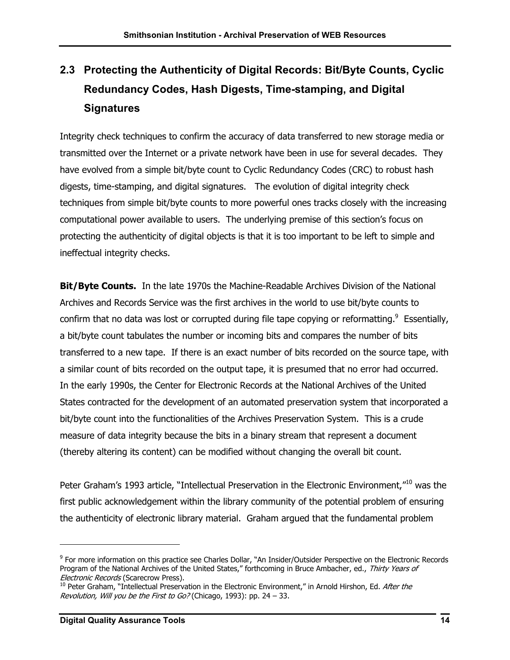## **2.3 Protecting the Authenticity of Digital Records: Bit/Byte Counts, Cyclic Redundancy Codes, Hash Digests, Time-stamping, and Digital Signatures**

Integrity check techniques to confirm the accuracy of data transferred to new storage media or transmitted over the Internet or a private network have been in use for several decades. They have evolved from a simple bit/byte count to Cyclic Redundancy Codes (CRC) to robust hash digests, time-stamping, and digital signatures. The evolution of digital integrity check techniques from simple bit/byte counts to more powerful ones tracks closely with the increasing computational power available to users. The underlying premise of this section's focus on protecting the authenticity of digital objects is that it is too important to be left to simple and ineffectual integrity checks.

**Bit/Byte Counts.** In the late 1970s the Machine-Readable Archives Division of the National Archives and Records Service was the first archives in the world to use bit/byte counts to confirm that no data was lost or corrupted during file tape copying or reformatting. $9$  Essentially, a bit/byte count tabulates the number or incoming bits and compares the number of bits transferred to a new tape. If there is an exact number of bits recorded on the source tape, with a similar count of bits recorded on the output tape, it is presumed that no error had occurred. In the early 1990s, the Center for Electronic Records at the National Archives of the United States contracted for the development of an automated preservation system that incorporated a bit/byte count into the functionalities of the Archives Preservation System. This is a crude measure of data integrity because the bits in a binary stream that represent a document (thereby altering its content) can be modified without changing the overall bit count.

Peter Graham's 1993 article, "Intellectual Preservation in the Electronic Environment,"<sup>10</sup> was the first public acknowledgement within the library community of the potential problem of ensuring the authenticity of electronic library material. Graham argued that the fundamental problem

<span id="page-16-0"></span>Program of the National Archives of the United States," forthcoming in Bruce Ambacher, ed., Thirty Years of <sup>9</sup> For more information on this practice see Charles Dollar, "An Insider/Outsider Perspective on the Electronic Records Electronic Records (Scarecrow Press).

<span id="page-16-1"></span><sup>&</sup>lt;sup>10</sup> Peter Graham, "Intellectual Preservation in the Electronic Environment," in Arnold Hirshon, Ed. After the Revolution, Will you be the First to Go? (Chicago, 1993): pp. 24 – 33.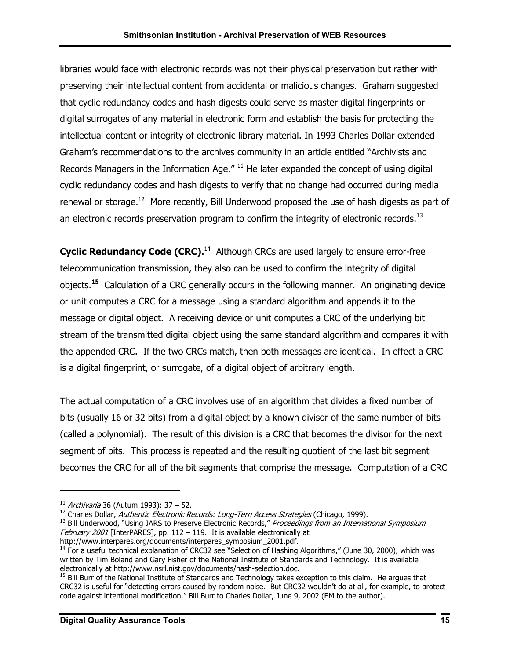libraries would face with electronic records was not their physical preservation but rather with preserving their intellectual content from accidental or malicious changes. Graham suggested that cyclic redundancy codes and hash digests could serve as master digital fingerprints or digital surrogates of any material in electronic form and establish the basis for protecting the intellectual content or integrity of electronic library material. In 1993 Charles Dollar extended Graham's recommendations to the archives community in an article entitled "Archivists and Records Managers in the Information Age."  $^{11}$  He later expanded the concept of using digital cyclic redundancy codes and hash digests to verify that no change had occurred during media renewal or storage.<sup>12</sup> More recently, Bill Underwood proposed the use of hash digests as part of an electronic records preservation program to confirm the integrity of electronic records.<sup>13</sup>

**Cyclic Redundancy Code (CRC).**<sup>14</sup> Although CRCs are used largely to ensure error-free telecommunication transmission, they also can be used to confirm the integrity of digital objects.**[15](#page-17-4)** Calculation of a CRC generally occurs in the following manner. An originating device or unit computes a CRC for a message using a standard algorithm and appends it to the message or digital object. A receiving device or unit computes a CRC of the underlying bit stream of the transmitted digital object using the same standard algorithm and compares it with the appended CRC. If the two CRCs match, then both messages are identical. In effect a CRC is a digital fingerprint, or surrogate, of a digital object of arbitrary length.

The actual computation of a CRC involves use of an algorithm that divides a fixed number of bits (usually 16 or 32 bits) from a digital object by a known divisor of the same number of bits (called a polynomial). The result of this division is a CRC that becomes the divisor for the next segment of bits. This process is repeated and the resulting quotient of the last bit segment becomes the CRC for all of the bit segments that comprise the message. Computation of a CRC

<span id="page-17-1"></span><span id="page-17-0"></span>

<sup>&</sup>lt;sup>11</sup> *Archivaria* 36 (Autum 1993): 37 – 52.<br><sup>12</sup> Charles Dollar, *Authentic Electronic Records: Long-Tern Access Strategies* (Chicago, 1999).

<span id="page-17-2"></span><sup>&</sup>lt;sup>13</sup> Bill Underwood, "Using JARS to Preserve Electronic Records," Proceedings from an International Symposium *February 2001* [InterPARES], pp. 112 – 119. It is available electronically at http://www.interpares.org/documents/interpares symposium 2001.pdf.

<span id="page-17-3"></span> $\frac{14}{14}$  For a useful technical explanation of CRC32 see "Selection of Hashing Algorithms," (June 30, 2000), which was written by Tim Boland and Gary Fisher of the National Institute of Standards and Technology. It is available electronically at http://www.nsrl.nist.gov/documents/hash-selection.doc.

<span id="page-17-4"></span> $15$  Bill Burr of the National Institute of Standards and Technology takes exception to this claim. He argues that CRC32 is useful for "detecting errors caused by random noise. But CRC32 wouldn't do at all, for example, to protect code against intentional modification." Bill Burr to Charles Dollar, June 9, 2002 (EM to the author).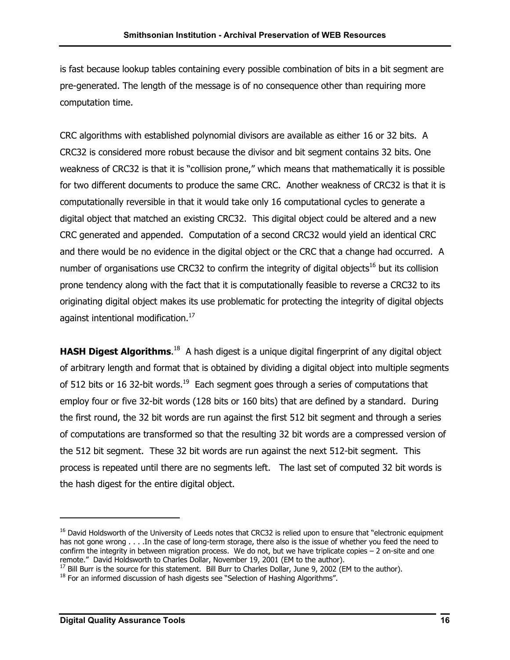is fast because lookup tables containing every possible combination of bits in a bit segment are pre-generated. The length of the message is of no consequence other than requiring more computation time.

CRC algorithms with established polynomial divisors are available as either 16 or 32 bits. A CRC32 is considered more robust because the divisor and bit segment contains 32 bits. One weakness of CRC32 is that it is "collision prone," which means that mathematically it is possible for two different documents to produce the same CRC. Another weakness of CRC32 is that it is computationally reversible in that it would take only 16 computational cycles to generate a digital object that matched an existing CRC32. This digital object could be altered and a new CRC generated and appended. Computation of a second CRC32 would yield an identical CRC and there would be no evidence in the digital object or the CRC that a change had occurred. A number of organisations use CRC32 to confirm the integrity of digital objects<sup>16</sup> but its collision prone tendency along with the fact that it is computationally feasible to reverse a CRC32 to its originating digital object makes its use problematic for protecting the integrity of digital objects against intentional modification.<sup>17</sup>

HASH Digest Algorithms.<sup>18</sup> A hash digest is a unique digital fingerprint of any digital object of arbitrary length and format that is obtained by dividing a digital object into multiple segments of 512 bits or 16 32-bit words.<sup>19</sup> Each segment goes through a series of computations that employ four or five 32-bit words (128 bits or 160 bits) that are defined by a standard. During the first round, the 32 bit words are run against the first 512 bit segment and through a series of computations are transformed so that the resulting 32 bit words are a compressed version of the 512 bit segment. These 32 bit words are run against the next 512-bit segment. This process is repeated until there are no segments left. The last set of computed 32 bit words is the hash digest for the entire digital object.

 $\overline{a}$ 

<span id="page-18-0"></span><sup>&</sup>lt;sup>16</sup> David Holdsworth of the University of Leeds notes that CRC32 is relied upon to ensure that "electronic equipment has not gone wrong . . . . In the case of long-term storage, there also is the issue of whether you feed the need to confirm the integrity in between migration process. We do not, but we have triplicate copies – 2 on-site and one remote." David Holdsworth to Charles Dollar, November 19, 2001 (EM to the author).

<span id="page-18-1"></span> $17$  Bill Burr is the source for this statement. Bill Burr to Charles Dollar, June 9, 2002 (EM to the author).

<span id="page-18-2"></span><sup>&</sup>lt;sup>18</sup> For an informed discussion of hash digests see "Selection of Hashing Algorithms".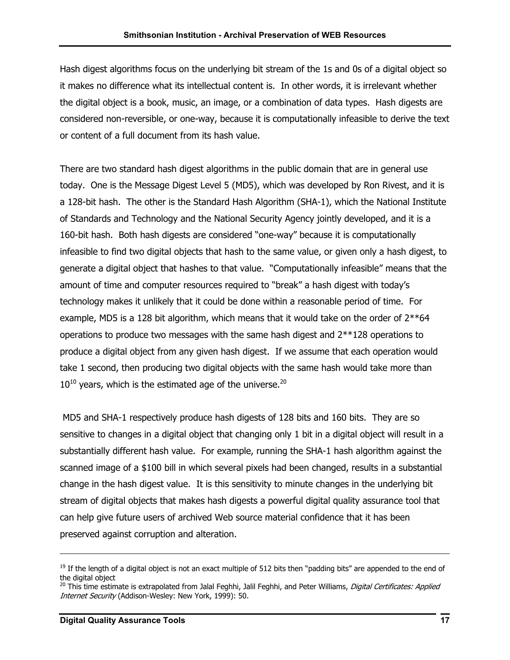Hash digest algorithms focus on the underlying bit stream of the 1s and 0s of a digital object so it makes no difference what its intellectual content is. In other words, it is irrelevant whether the digital object is a book, music, an image, or a combination of data types. Hash digests are considered non-reversible, or one-way, because it is computationally infeasible to derive the text or content of a full document from its hash value.

There are two standard hash digest algorithms in the public domain that are in general use today. One is the Message Digest Level 5 (MD5), which was developed by Ron Rivest, and it is a 128-bit hash. The other is the Standard Hash Algorithm (SHA-1), which the National Institute of Standards and Technology and the National Security Agency jointly developed, and it is a 160-bit hash. Both hash digests are considered "one-way" because it is computationally infeasible to find two digital objects that hash to the same value, or given only a hash digest, to generate a digital object that hashes to that value. "Computationally infeasible" means that the amount of time and computer resources required to "break" a hash digest with today's technology makes it unlikely that it could be done within a reasonable period of time. For example, MD5 is a 128 bit algorithm, which means that it would take on the order of  $2^{**}64$ operations to produce two messages with the same hash digest and 2\*\*128 operations to produce a digital object from any given hash digest. If we assume that each operation would take 1 second, then producing two digital objects with the same hash would take more than  $10^{10}$  years, which is the estimated age of the universe.<sup>20</sup>

 MD5 and SHA-1 respectively produce hash digests of 128 bits and 160 bits. They are so sensitive to changes in a digital object that changing only 1 bit in a digital object will result in a substantially different hash value. For example, running the SHA-1 hash algorithm against the scanned image of a \$100 bill in which several pixels had been changed, results in a substantial change in the hash digest value. It is this sensitivity to minute changes in the underlying bit stream of digital objects that makes hash digests a powerful digital quality assurance tool that can help give future users of archived Web source material confidence that it has been preserved against corruption and alteration.

 $19$  If the length of a digital object is not an exact multiple of 512 bits then "padding bits" are appended to the end of the digital object

<span id="page-19-0"></span><sup>&</sup>lt;sup>20</sup> This time estimate is extrapolated from Jalal Feghhi, Jalil Feghhi, and Peter Williams, Digital Certificates: Applied Internet Security (Addison-Wesley: New York, 1999): 50.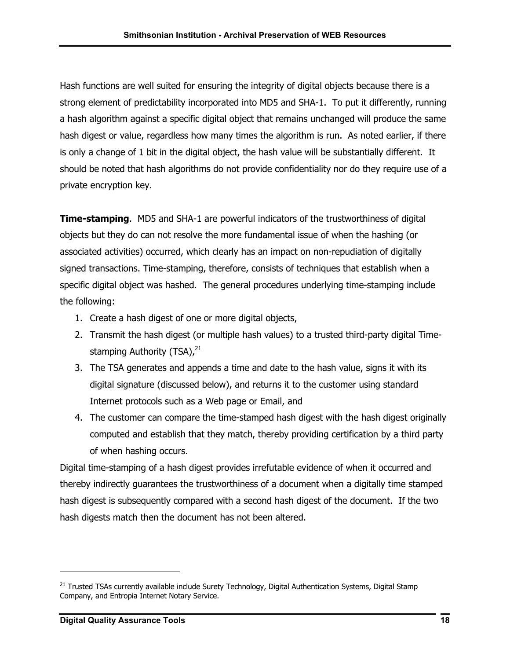Hash functions are well suited for ensuring the integrity of digital objects because there is a strong element of predictability incorporated into MD5 and SHA-1. To put it differently, running a hash algorithm against a specific digital object that remains unchanged will produce the same hash digest or value, regardless how many times the algorithm is run. As noted earlier, if there is only a change of 1 bit in the digital object, the hash value will be substantially different. It should be noted that hash algorithms do not provide confidentiality nor do they require use of a private encryption key.

**Time-stamping**. MD5 and SHA-1 are powerful indicators of the trustworthiness of digital objects but they do can not resolve the more fundamental issue of when the hashing (or associated activities) occurred, which clearly has an impact on non-repudiation of digitally signed transactions. Time-stamping, therefore, consists of techniques that establish when a specific digital object was hashed. The general procedures underlying time-stamping include the following:

- 1. Create a hash digest of one or more digital objects,
- 2. Transmit the hash digest (or multiple hash values) to a trusted third-party digital Timestamping Authority (TSA), $^{21}$
- 3. The TSA generates and appends a time and date to the hash value, signs it with its digital signature (discussed below), and returns it to the customer using standard Internet protocols such as a Web page or Email, and
- 4. The customer can compare the time-stamped hash digest with the hash digest originally computed and establish that they match, thereby providing certification by a third party of when hashing occurs.

Digital time-stamping of a hash digest provides irrefutable evidence of when it occurred and thereby indirectly guarantees the trustworthiness of a document when a digitally time stamped hash digest is subsequently compared with a second hash digest of the document. If the two hash digests match then the document has not been altered.

<span id="page-20-0"></span><sup>&</sup>lt;sup>21</sup> Trusted TSAs currently available include Surety Technology, Digital Authentication Systems, Digital Stamp Company, and Entropia Internet Notary Service.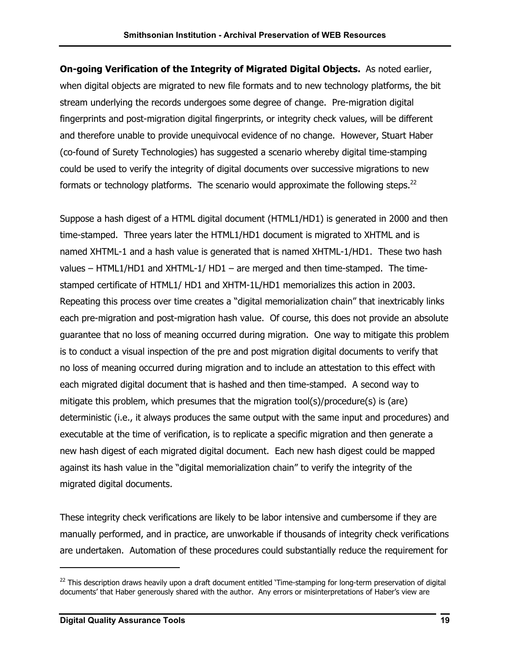<span id="page-21-0"></span>**On-going Verification of the Integrity of Migrated Digital Objects.** As noted earlier, when digital objects are migrated to new file formats and to new technology platforms, the bit stream underlying the records undergoes some degree of change. Pre-migration digital fingerprints and post-migration digital fingerprints, or integrity check values, will be different and therefore unable to provide unequivocal evidence of no change. However, Stuart Haber (co-found of Surety Technologies) has suggested a scenario whereby digital time-stamping could be used to verify the integrity of digital documents over successive migrations to new formats or technology platforms. The scenario would approximate the following steps. $^{22}$  $^{22}$  $^{22}$ 

Suppose a hash digest of a HTML digital document (HTML1/HD1) is generated in 2000 and then time-stamped. Three years later the HTML1/HD1 document is migrated to XHTML and is named XHTML-1 and a hash value is generated that is named XHTML-1/HD1. These two hash values – HTML1/HD1 and XHTML-1/ HD1 – are merged and then time-stamped. The timestamped certificate of HTML1/ HD1 and XHTM-1L/HD1 memorializes this action in 2003. Repeating this process over time creates a "digital memorialization chain" that inextricably links each pre-migration and post-migration hash value. Of course, this does not provide an absolute guarantee that no loss of meaning occurred during migration. One way to mitigate this problem is to conduct a visual inspection of the pre and post migration digital documents to verify that no loss of meaning occurred during migration and to include an attestation to this effect with each migrated digital document that is hashed and then time-stamped. A second way to mitigate this problem, which presumes that the migration tool(s)/procedure(s) is (are) deterministic (i.e., it always produces the same output with the same input and procedures) and executable at the time of verification, is to replicate a specific migration and then generate a new hash digest of each migrated digital document. Each new hash digest could be mapped against its hash value in the "digital memorialization chain" to verify the integrity of the migrated digital documents.

These integrity check verifications are likely to be labor intensive and cumbersome if they are manually performed, and in practice, are unworkable if thousands of integrity check verifications are undertaken. Automation of these procedures could substantially reduce the requirement for

<sup>&</sup>lt;sup>22</sup> This description draws heavily upon a draft document entitled 'Time-stamping for long-term preservation of digital documents' that Haber generously shared with the author. Any errors or misinterpretations of Haber's view are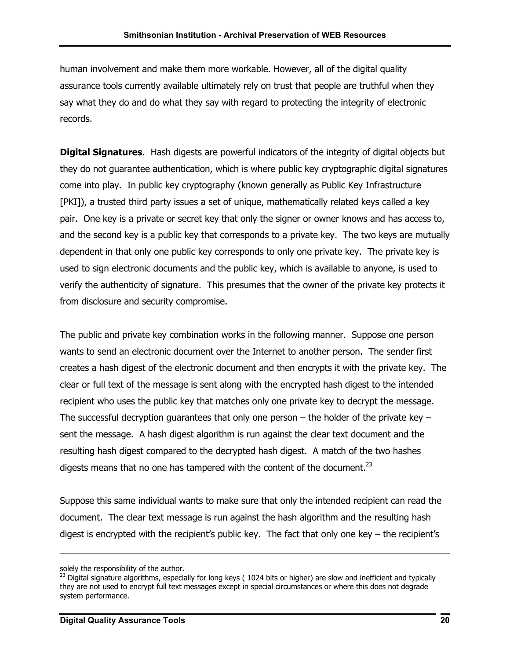human involvement and make them more workable. However, all of the digital quality assurance tools currently available ultimately rely on trust that people are truthful when they say what they do and do what they say with regard to protecting the integrity of electronic records.

**Digital Signatures**. Hash digests are powerful indicators of the integrity of digital objects but they do not guarantee authentication, which is where public key cryptographic digital signatures come into play. In public key cryptography (known generally as Public Key Infrastructure [PKI]), a trusted third party issues a set of unique, mathematically related keys called a key pair. One key is a private or secret key that only the signer or owner knows and has access to, and the second key is a public key that corresponds to a private key. The two keys are mutually dependent in that only one public key corresponds to only one private key. The private key is used to sign electronic documents and the public key, which is available to anyone, is used to verify the authenticity of signature. This presumes that the owner of the private key protects it from disclosure and security compromise.

The public and private key combination works in the following manner. Suppose one person wants to send an electronic document over the Internet to another person. The sender first creates a hash digest of the electronic document and then encrypts it with the private key. The clear or full text of the message is sent along with the encrypted hash digest to the intended recipient who uses the public key that matches only one private key to decrypt the message. The successful decryption guarantees that only one person  $-$  the holder of the private key  $$ sent the message. A hash digest algorithm is run against the clear text document and the resulting hash digest compared to the decrypted hash digest. A match of the two hashes digests means that no one has tampered with the content of the document. $^{23}$ 

Suppose this same individual wants to make sure that only the intended recipient can read the document. The clear text message is run against the hash algorithm and the resulting hash digest is encrypted with the recipient's public key. The fact that only one key  $-$  the recipient's

solely the responsibility of the author.

<span id="page-22-0"></span> $^{23}$  Digital signature algorithms, especially for long keys (1024 bits or higher) are slow and inefficient and typically they are not used to encrypt full text messages except in special circumstances or where this does not degrade system performance.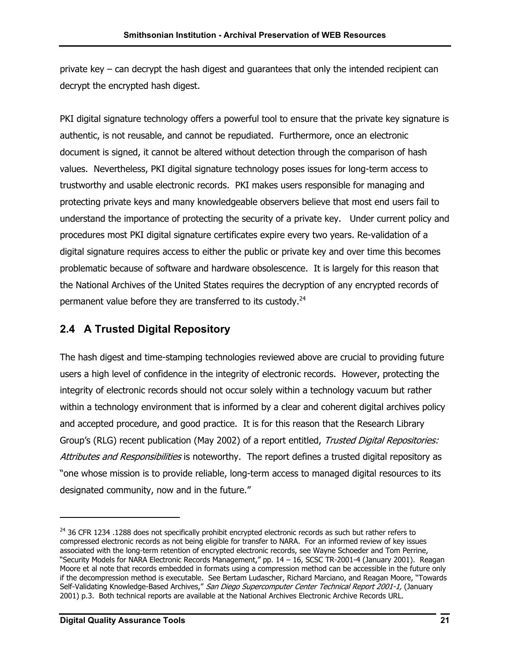private key – can decrypt the hash digest and guarantees that only the intended recipient can decrypt the encrypted hash digest.

PKI digital signature technology offers a powerful tool to ensure that the private key signature is authentic, is not reusable, and cannot be repudiated. Furthermore, once an electronic document is signed, it cannot be altered without detection through the comparison of hash values. Nevertheless, PKI digital signature technology poses issues for long-term access to trustworthy and usable electronic records. PKI makes users responsible for managing and protecting private keys and many knowledgeable observers believe that most end users fail to understand the importance of protecting the security of a private key. Under current policy and procedures most PKI digital signature certificates expire every two years. Re-validation of a digital signature requires access to either the public or private key and over time this becomes problematic because of software and hardware obsolescence. It is largely for this reason that the National Archives of the United States requires the decryption of any encrypted records of permanent value before they are transferred to its custody. $^{24}$ 

## **2.4 A Trusted Digital Repository**

The hash digest and time-stamping technologies reviewed above are crucial to providing future users a high level of confidence in the integrity of electronic records. However, protecting the integrity of electronic records should not occur solely within a technology vacuum but rather within a technology environment that is informed by a clear and coherent digital archives policy and accepted procedure, and good practice. It is for this reason that the Research Library Group's (RLG) recent publication (May 2002) of a report entitled, Trusted Digital Repositories: Attributes and Responsibilities is noteworthy. The report defines a trusted digital repository as "one whose mission is to provide reliable, long-term access to managed digital resources to its designated community, now and in the future."

<span id="page-23-0"></span><sup>&</sup>lt;sup>24</sup> 36 CFR 1234 .1288 does not specifically prohibit encrypted electronic records as such but rather refers to compressed electronic records as not being eligible for transfer to NARA. For an informed review of key issues associated with the long-term retention of encrypted electronic records, see Wayne Schoeder and Tom Perrine, "Security Models for NARA Electronic Records Management," pp. 14 – 16, SCSC TR-2001-4 (January 2001). Reagan Moore et al note that records embedded in formats using a compression method can be accessible in the future only if the decompression method is executable. See Bertam Ludascher, Richard Marciano, and Reagan Moore, "Towards Self-Validating Knowledge-Based Archives," San Diego Supercomputer Center Technical Report 2001-1, (January 2001) p.3. Both technical reports are available at the National Archives Electronic Archive Records URL.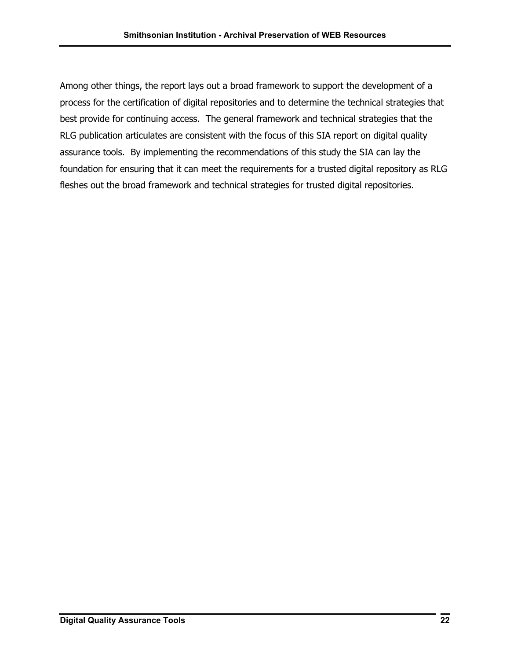Among other things, the report lays out a broad framework to support the development of a process for the certification of digital repositories and to determine the technical strategies that best provide for continuing access. The general framework and technical strategies that the RLG publication articulates are consistent with the focus of this SIA report on digital quality assurance tools. By implementing the recommendations of this study the SIA can lay the foundation for ensuring that it can meet the requirements for a trusted digital repository as RLG fleshes out the broad framework and technical strategies for trusted digital repositories.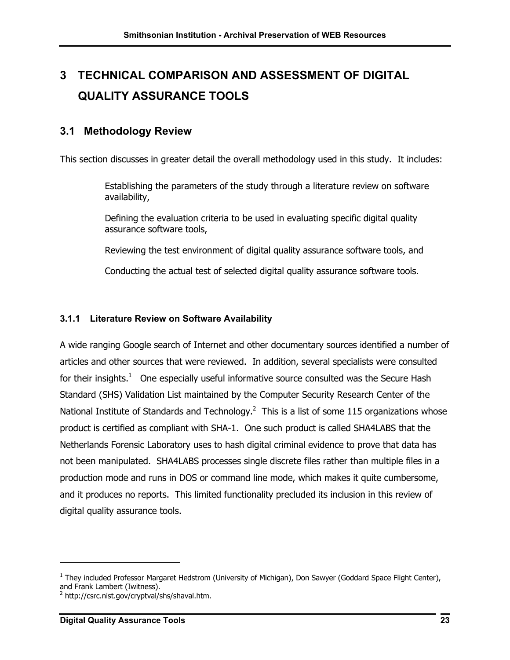## **3 TECHNICAL COMPARISON AND ASSESSMENT OF DIGITAL QUALITY ASSURANCE TOOLS**

## **3.1 Methodology Review**

This section discusses in greater detail the overall methodology used in this study. It includes:

Establishing the parameters of the study through a literature review on software availability,

Defining the evaluation criteria to be used in evaluating specific digital quality assurance software tools,

Reviewing the test environment of digital quality assurance software tools, and

Conducting the actual test of selected digital quality assurance software tools.

#### **3.1.1 Literature Review on Software Availability**

A wide ranging Google search of Internet and other documentary sources identified a number of articles and other sources that were reviewed. In addition, several specialists were consulted for their insights.<sup>1</sup> One especially useful informative source consulted was the Secure Hash Standard (SHS) Validation List maintained by the Computer Security Research Center of the National Institute of Standards and Technology.<sup>[2](#page-25-1)</sup> This is a list of some 115 organizations whose product is certified as compliant with SHA-1. One such product is called SHA4LABS that the Netherlands Forensic Laboratory uses to hash digital criminal evidence to prove that data has not been manipulated. SHA4LABS processes single discrete files rather than multiple files in a production mode and runs in DOS or command line mode, which makes it quite cumbersome, and it produces no reports. This limited functionality precluded its inclusion in this review of digital quality assurance tools.

<span id="page-25-0"></span><sup>&</sup>lt;sup>1</sup> They included Professor Margaret Hedstrom (University of Michigan), Don Sawyer (Goddard Space Flight Center), and Frank Lambert (Iwitness).

<span id="page-25-1"></span><sup>&</sup>lt;sup>2</sup> http://csrc.nist.gov/cryptval/shs/shaval.htm.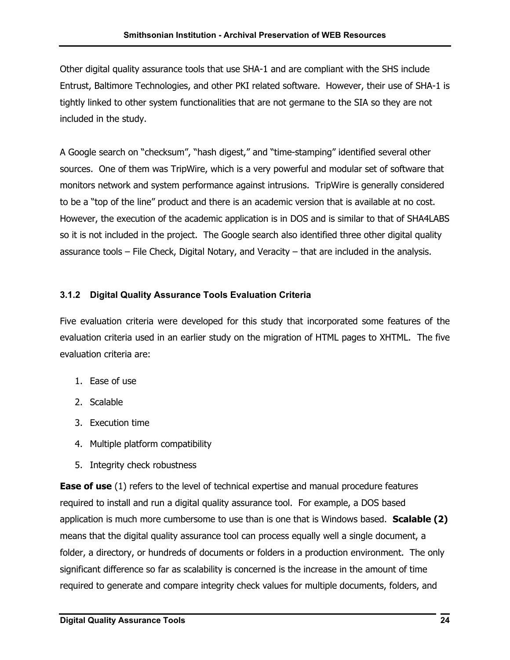<span id="page-26-0"></span>Other digital quality assurance tools that use SHA-1 and are compliant with the SHS include Entrust, Baltimore Technologies, and other PKI related software. However, their use of SHA-1 is tightly linked to other system functionalities that are not germane to the SIA so they are not included in the study.

A Google search on "checksum", "hash digest," and "time-stamping" identified several other sources. One of them was TripWire, which is a very powerful and modular set of software that monitors network and system performance against intrusions. TripWire is generally considered to be a "top of the line" product and there is an academic version that is available at no cost. However, the execution of the academic application is in DOS and is similar to that of SHA4LABS so it is not included in the project. The Google search also identified three other digital quality assurance tools – File Check, Digital Notary, and Veracity – that are included in the analysis.

### **3.1.2 Digital Quality Assurance Tools Evaluation Criteria**

Five evaluation criteria were developed for this study that incorporated some features of the evaluation criteria used in an earlier study on the migration of HTML pages to XHTML. The five evaluation criteria are:

- 1. Ease of use
- 2. Scalable
- 3. Execution time
- 4. Multiple platform compatibility
- 5. Integrity check robustness

**Ease of use** (1) refers to the level of technical expertise and manual procedure features required to install and run a digital quality assurance tool. For example, a DOS based application is much more cumbersome to use than is one that is Windows based. **Scalable (2)** means that the digital quality assurance tool can process equally well a single document, a folder, a directory, or hundreds of documents or folders in a production environment. The only significant difference so far as scalability is concerned is the increase in the amount of time required to generate and compare integrity check values for multiple documents, folders, and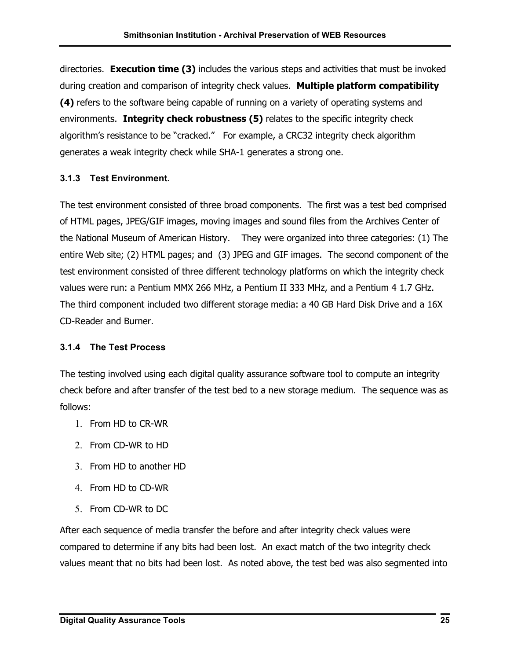<span id="page-27-0"></span>directories. **Execution time (3)** includes the various steps and activities that must be invoked during creation and comparison of integrity check values. **Multiple platform compatibility (4)** refers to the software being capable of running on a variety of operating systems and environments. **Integrity check robustness (5)** relates to the specific integrity check algorithm's resistance to be "cracked." For example, a CRC32 integrity check algorithm generates a weak integrity check while SHA-1 generates a strong one.

#### **3.1.3 Test Environment.**

The test environment consisted of three broad components. The first was a test bed comprised of HTML pages, JPEG/GIF images, moving images and sound files from the Archives Center of the National Museum of American History. They were organized into three categories: (1) The entire Web site; (2) HTML pages; and (3) JPEG and GIF images. The second component of the test environment consisted of three different technology platforms on which the integrity check values were run: a Pentium MMX 266 MHz, a Pentium II 333 MHz, and a Pentium 4 1.7 GHz. The third component included two different storage media: a 40 GB Hard Disk Drive and a 16X CD-Reader and Burner.

#### **3.1.4 The Test Process**

The testing involved using each digital quality assurance software tool to compute an integrity check before and after transfer of the test bed to a new storage medium. The sequence was as follows:

- 1. From HD to CR-WR
- 2. From CD-WR to HD
- 3. From HD to another HD
- 4. From HD to CD-WR
- 5. From CD-WR to DC

After each sequence of media transfer the before and after integrity check values were compared to determine if any bits had been lost. An exact match of the two integrity check values meant that no bits had been lost. As noted above, the test bed was also segmented into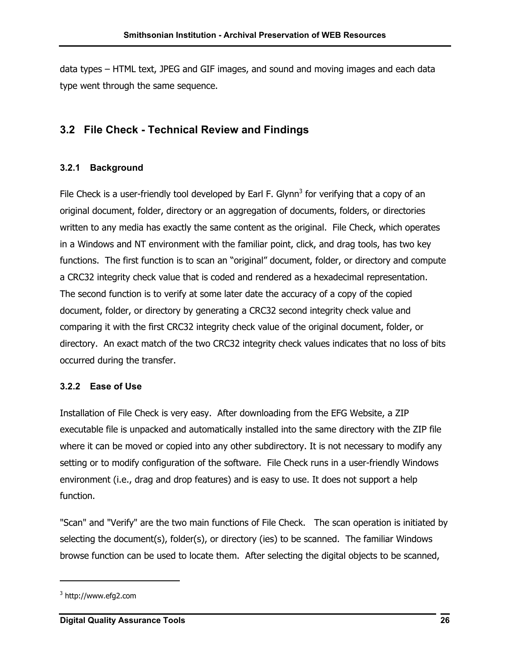<span id="page-28-0"></span>data types – HTML text, JPEG and GIF images, and sound and moving images and each data type went through the same sequence.

## **3.2 File Check - Technical Review and Findings**

#### **3.2.1 Background**

File Check is a user-friendly tool developed by Earl F. Glynn<sup>3</sup> for verifying that a copy of an original document, folder, directory or an aggregation of documents, folders, or directories written to any media has exactly the same content as the original. File Check, which operates in a Windows and NT environment with the familiar point, click, and drag tools, has two key functions. The first function is to scan an "original" document, folder, or directory and compute a CRC32 integrity check value that is coded and rendered as a hexadecimal representation. The second function is to verify at some later date the accuracy of a copy of the copied document, folder, or directory by generating a CRC32 second integrity check value and comparing it with the first CRC32 integrity check value of the original document, folder, or directory. An exact match of the two CRC32 integrity check values indicates that no loss of bits occurred during the transfer.

#### **3.2.2 Ease of Use**

Installation of File Check is very easy. After downloading from the EFG Website, a ZIP executable file is unpacked and automatically installed into the same directory with the ZIP file where it can be moved or copied into any other subdirectory. It is not necessary to modify any setting or to modify configuration of the software. File Check runs in a user-friendly Windows environment (i.e., drag and drop features) and is easy to use. It does not support a help function.

"Scan" and "Verify" are the two main functions of File Check. The scan operation is initiated by selecting the document(s), folder(s), or directory (ies) to be scanned. The familiar Windows browse function can be used to locate them. After selecting the digital objects to be scanned,

<span id="page-28-1"></span> $3$  http://www.efg2.com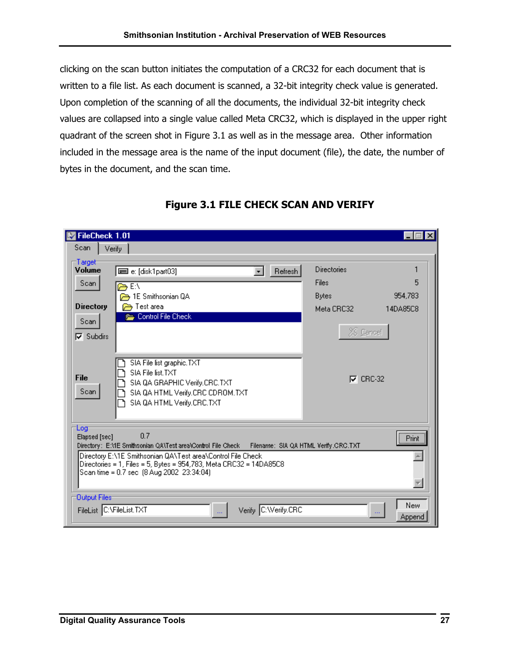clicking on the scan button initiates the computation of a CRC32 for each document that is written to a file list. As each document is scanned, a 32-bit integrity check value is generated. Upon completion of the scanning of all the documents, the individual 32-bit integrity check values are collapsed into a single value called Meta CRC32, which is displayed in the upper right quadrant of the screen shot in Figure 3.1 as well as in the message area. Other information included in the message area is the name of the input document (file), the date, the number of bytes in the document, and the scan time.

| FileCheck 1.01       |                                                                                                                                                                                |                    |               |
|----------------------|--------------------------------------------------------------------------------------------------------------------------------------------------------------------------------|--------------------|---------------|
| Scan                 | Verify                                                                                                                                                                         |                    |               |
| Target<br>Volume     | Refresh<br>■ e: [disk1part03]<br>$\mathbf{r}$                                                                                                                                  | <b>Directories</b> |               |
| Scan                 | E:\                                                                                                                                                                            | Files              | 5             |
|                      | 1E Smithsonian QA                                                                                                                                                              | <b>Bytes</b>       | 954,783       |
| <b>Directory</b>     | Test area                                                                                                                                                                      | Meta CRC32         | 14DA85C8      |
| Scan                 | Control File Check                                                                                                                                                             |                    |               |
| $\nabla$ Subdirs     |                                                                                                                                                                                | XX Cancel          |               |
| File<br>Scan         | SIA File list graphic. TXT<br>SIA File list TXT<br>SIA QA GRAPHIC Verify.CRC.TXT<br>SIA QA HTML Verify.CRC CDROM.TXT<br>SIA QA HTML Verify.CRC.TXT                             | $\nabla$ CRC-32    |               |
| Log<br>Elapsed [sec] | 0.7<br>Directory: E:ME Smithsonian QA\Test area\Control File Check<br>Filename: SIA QA HTML Verify.CRC.TXT                                                                     |                    | Print         |
|                      | Directory E:\1E Smithsonian QA\Test area\Control File Check<br>Directories = 1, Files = 5, Bytes = 954,783, Meta CRC32 = 14DA85C8<br>Scan time = 0.7 sec (8 Aug 2002 23:34:04) |                    |               |
| Output Files         | Verify C: Verify.CRC<br>FileList C:\FileList.TXT<br>$\mathcal{L}_{\mathcal{A},\mathcal{A}}$                                                                                    | $\ddotsc$          | New<br>Append |

### **Figure 3.1 FILE CHECK SCAN AND VERIFY**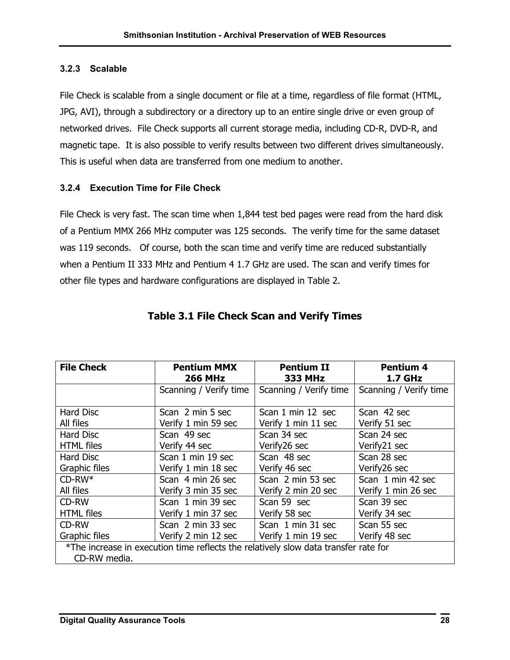#### <span id="page-30-0"></span>**3.2.3 Scalable**

File Check is scalable from a single document or file at a time, regardless of file format (HTML, JPG, AVI), through a subdirectory or a directory up to an entire single drive or even group of networked drives. File Check supports all current storage media, including CD-R, DVD-R, and magnetic tape. It is also possible to verify results between two different drives simultaneously. This is useful when data are transferred from one medium to another.

#### **3.2.4 Execution Time for File Check**

File Check is very fast. The scan time when 1,844 test bed pages were read from the hard disk of a Pentium MMX 266 MHz computer was 125 seconds. The verify time for the same dataset was 119 seconds. Of course, both the scan time and verify time are reduced substantially when a Pentium II 333 MHz and Pentium 4 1.7 GHz are used. The scan and verify times for other file types and hardware configurations are displayed in Table 2.

| <b>File Check</b><br><b>Pentium MMX</b><br><b>Pentium II</b><br><b>Pentium 4</b> |                                                                                     |                        |                        |  |  |
|----------------------------------------------------------------------------------|-------------------------------------------------------------------------------------|------------------------|------------------------|--|--|
|                                                                                  | <b>266 MHz</b>                                                                      | <b>333 MHz</b>         | <b>1.7 GHz</b>         |  |  |
|                                                                                  |                                                                                     |                        |                        |  |  |
|                                                                                  | Scanning / Verify time                                                              | Scanning / Verify time | Scanning / Verify time |  |  |
|                                                                                  |                                                                                     |                        |                        |  |  |
| <b>Hard Disc</b>                                                                 | Scan 2 min 5 sec                                                                    | Scan 1 min 12 sec      | Scan 42 sec            |  |  |
| All files                                                                        | Verify 1 min 59 sec                                                                 | Verify 1 min 11 sec    | Verify 51 sec          |  |  |
| Hard Disc                                                                        | Scan 49 sec                                                                         | Scan 34 sec            | Scan 24 sec            |  |  |
| <b>HTML</b> files                                                                | Verify 44 sec                                                                       | Verify26 sec           | Verify21 sec           |  |  |
| Hard Disc                                                                        | Scan 1 min 19 sec                                                                   | Scan 48 sec            | Scan 28 sec            |  |  |
| Graphic files                                                                    | Verify 1 min 18 sec                                                                 | Verify 46 sec          | Verify26 sec           |  |  |
| $CD-RW*$                                                                         | Scan 4 min 26 sec                                                                   | Scan 2 min 53 sec      | Scan 1 min 42 sec      |  |  |
| All files                                                                        | Verify 3 min 35 sec                                                                 | Verify 2 min 20 sec    | Verify 1 min 26 sec    |  |  |
| CD-RW                                                                            | Scan 1 min 39 sec                                                                   | Scan 59 sec            | Scan 39 sec            |  |  |
| <b>HTML</b> files                                                                | Verify 1 min 37 sec                                                                 | Verify 58 sec          | Verify 34 sec          |  |  |
| CD-RW                                                                            | Scan 2 min 33 sec                                                                   | Scan 1 min 31 sec      | Scan 55 sec            |  |  |
| Graphic files                                                                    | Verify 2 min 12 sec                                                                 | Verify 1 min 19 sec    | Verify 48 sec          |  |  |
|                                                                                  | *The increase in execution time reflects the relatively slow data transfer rate for |                        |                        |  |  |
| CD-RW media.                                                                     |                                                                                     |                        |                        |  |  |

#### **Table 3.1 File Check Scan and Verify Times**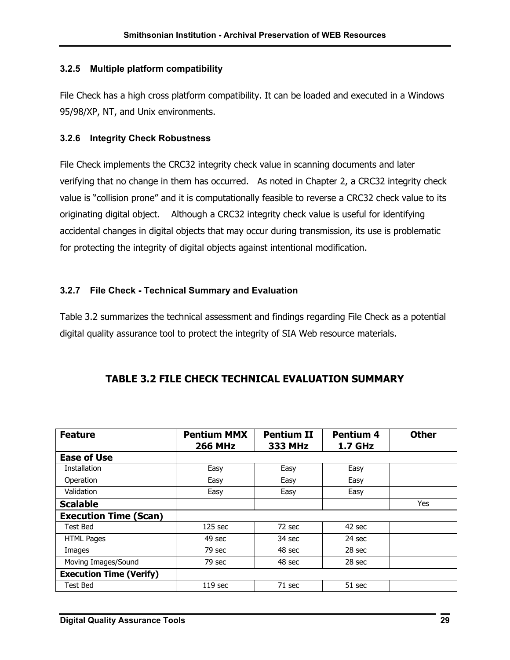#### <span id="page-31-0"></span>**3.2.5 Multiple platform compatibility**

File Check has a high cross platform compatibility. It can be loaded and executed in a Windows 95/98/XP, NT, and Unix environments.

#### **3.2.6 Integrity Check Robustness**

File Check implements the CRC32 integrity check value in scanning documents and later verifying that no change in them has occurred. As noted in Chapter 2, a CRC32 integrity check value is "collision prone" and it is computationally feasible to reverse a CRC32 check value to its originating digital object. Although a CRC32 integrity check value is useful for identifying accidental changes in digital objects that may occur during transmission, its use is problematic for protecting the integrity of digital objects against intentional modification.

#### **3.2.7 File Check - Technical Summary and Evaluation**

Table 3.2 summarizes the technical assessment and findings regarding File Check as a potential digital quality assurance tool to protect the integrity of SIA Web resource materials.

| <b>Feature</b>                 | <b>Pentium MMX</b><br><b>266 MHz</b> | <b>Pentium II</b><br><b>333 MHz</b> | <b>Pentium 4</b><br><b>1.7 GHz</b> | <b>Other</b> |
|--------------------------------|--------------------------------------|-------------------------------------|------------------------------------|--------------|
| <b>Ease of Use</b>             |                                      |                                     |                                    |              |
| Installation                   | Easy                                 | Easy                                | Easy                               |              |
| Operation                      | Easy                                 | Easy                                | Easy                               |              |
| Validation                     | Easy                                 | Easy                                | Easy                               |              |
| <b>Scalable</b>                |                                      |                                     |                                    | Yes          |
| <b>Execution Time (Scan)</b>   |                                      |                                     |                                    |              |
| <b>Test Bed</b>                | $125$ sec                            | 72 sec                              | 42 sec                             |              |
| <b>HTML Pages</b>              | 49 sec                               | 34 sec                              | 24 sec                             |              |
| Images                         | 79 sec                               | 48 sec                              | $28$ sec                           |              |
| Moving Images/Sound            | 79 sec                               | 48 sec                              | 28 sec                             |              |
| <b>Execution Time (Verify)</b> |                                      |                                     |                                    |              |
| <b>Test Bed</b>                | 119 <sub>sec</sub>                   | 71 sec                              | 51 sec                             |              |

#### **TABLE 3.2 FILE CHECK TECHNICAL EVALUATION SUMMARY**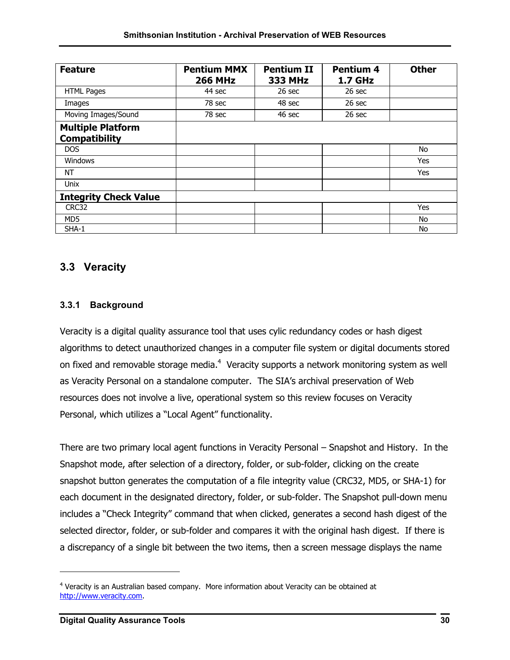| <b>Feature</b>                                   | <b>Pentium MMX</b><br><b>266 MHz</b> | <b>Pentium II</b><br><b>333 MHz</b> | <b>Pentium 4</b><br><b>1.7 GHz</b> | <b>Other</b> |
|--------------------------------------------------|--------------------------------------|-------------------------------------|------------------------------------|--------------|
| <b>HTML Pages</b>                                | 44 sec                               | 26 sec                              | $26$ sec                           |              |
| Images                                           | 78 sec                               | 48 sec                              | $26$ sec                           |              |
| Moving Images/Sound                              | 78 sec                               | 46 sec                              | $26$ sec                           |              |
| <b>Multiple Platform</b><br><b>Compatibility</b> |                                      |                                     |                                    |              |
| <b>DOS</b>                                       |                                      |                                     |                                    | No           |
| Windows                                          |                                      |                                     |                                    | <b>Yes</b>   |
| NT                                               |                                      |                                     |                                    | Yes          |
| Unix                                             |                                      |                                     |                                    |              |
| <b>Integrity Check Value</b>                     |                                      |                                     |                                    |              |
| CRC32                                            |                                      |                                     |                                    | <b>Yes</b>   |
| MD <sub>5</sub>                                  |                                      |                                     |                                    | No           |
| SHA-1                                            |                                      |                                     |                                    | No           |

## **3.3 Veracity**

#### **3.3.1 Background**

Veracity is a digital quality assurance tool that uses cylic redundancy codes or hash digest algorithms to detect unauthorized changes in a computer file system or digital documents stored on fixed and removable storage media. $4\,$  $4\,$  Veracity supports a network monitoring system as well as Veracity Personal on a standalone computer. The SIA's archival preservation of Web resources does not involve a live, operational system so this review focuses on Veracity Personal, which utilizes a "Local Agent" functionality.

There are two primary local agent functions in Veracity Personal – Snapshot and History. In the Snapshot mode, after selection of a directory, folder, or sub-folder, clicking on the create snapshot button generates the computation of a file integrity value (CRC32, MD5, or SHA-1) for each document in the designated directory, folder, or sub-folder. The Snapshot pull-down menu includes a "Check Integrity" command that when clicked, generates a second hash digest of the selected director, folder, or sub-folder and compares it with the original hash digest. If there is a discrepancy of a single bit between the two items, then a screen message displays the name

<span id="page-32-0"></span><sup>4</sup> Veracity is an Australian based company. More information about Veracity can be obtained at [http://www.veracity.com.](http://www.veracity.com/)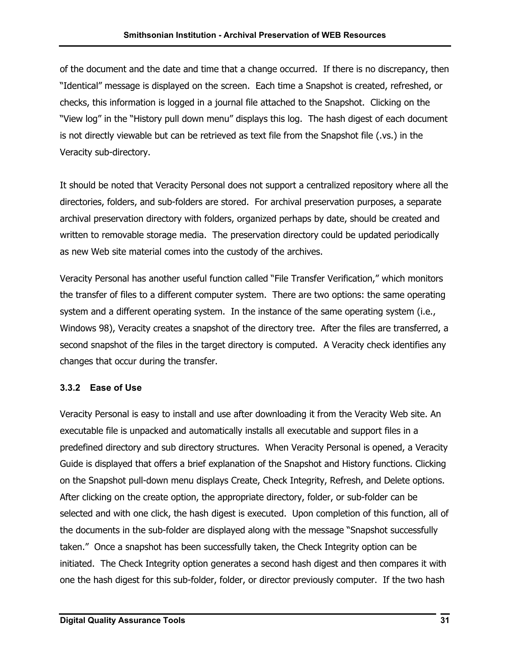<span id="page-33-0"></span>of the document and the date and time that a change occurred. If there is no discrepancy, then "Identical" message is displayed on the screen. Each time a Snapshot is created, refreshed, or checks, this information is logged in a journal file attached to the Snapshot. Clicking on the "View log" in the "History pull down menu" displays this log. The hash digest of each document is not directly viewable but can be retrieved as text file from the Snapshot file (.vs.) in the Veracity sub-directory.

It should be noted that Veracity Personal does not support a centralized repository where all the directories, folders, and sub-folders are stored. For archival preservation purposes, a separate archival preservation directory with folders, organized perhaps by date, should be created and written to removable storage media. The preservation directory could be updated periodically as new Web site material comes into the custody of the archives.

Veracity Personal has another useful function called "File Transfer Verification," which monitors the transfer of files to a different computer system. There are two options: the same operating system and a different operating system. In the instance of the same operating system (i.e., Windows 98), Veracity creates a snapshot of the directory tree. After the files are transferred, a second snapshot of the files in the target directory is computed. A Veracity check identifies any changes that occur during the transfer.

#### **3.3.2 Ease of Use**

Veracity Personal is easy to install and use after downloading it from the Veracity Web site. An executable file is unpacked and automatically installs all executable and support files in a predefined directory and sub directory structures. When Veracity Personal is opened, a Veracity Guide is displayed that offers a brief explanation of the Snapshot and History functions. Clicking on the Snapshot pull-down menu displays Create, Check Integrity, Refresh, and Delete options. After clicking on the create option, the appropriate directory, folder, or sub-folder can be selected and with one click, the hash digest is executed. Upon completion of this function, all of the documents in the sub-folder are displayed along with the message "Snapshot successfully taken." Once a snapshot has been successfully taken, the Check Integrity option can be initiated. The Check Integrity option generates a second hash digest and then compares it with one the hash digest for this sub-folder, folder, or director previously computer. If the two hash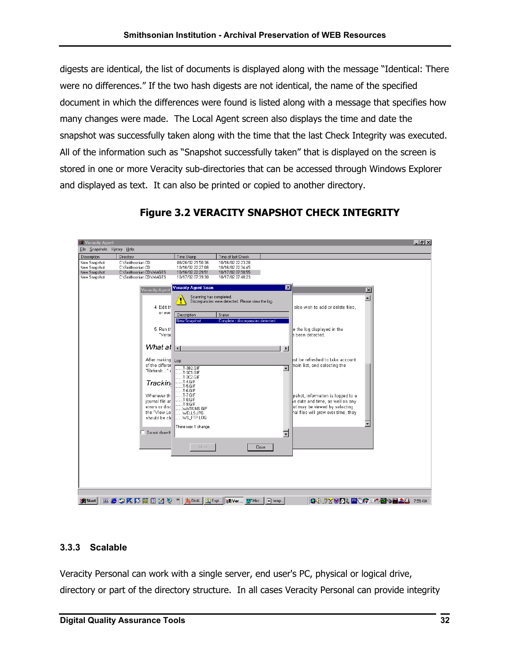<span id="page-34-0"></span>digests are identical, the list of documents is displayed along with the message "Identical: There were no differences." If the two hash digests are not identical, the name of the specified document in which the differences were found is listed along with a message that specifies how many changes were made. The Local Agent screen also displays the time and date the snapshot was successfully taken along with the time that the last Check Integrity was executed. All of the information such as "Snapshot successfully taken" that is displayed on the screen is stored in one or more Veracity sub-directories that can be accessed through Windows Explorer and displayed as text. It can also be printed or copied to another directory.



#### **Figure 3.2 VERACITY SNAPSHOT CHECK INTEGRITY**

#### **3.3.3 Scalable**

Veracity Personal can work with a single server, end user's PC, physical or logical drive, directory or part of the directory structure. In all cases Veracity Personal can provide integrity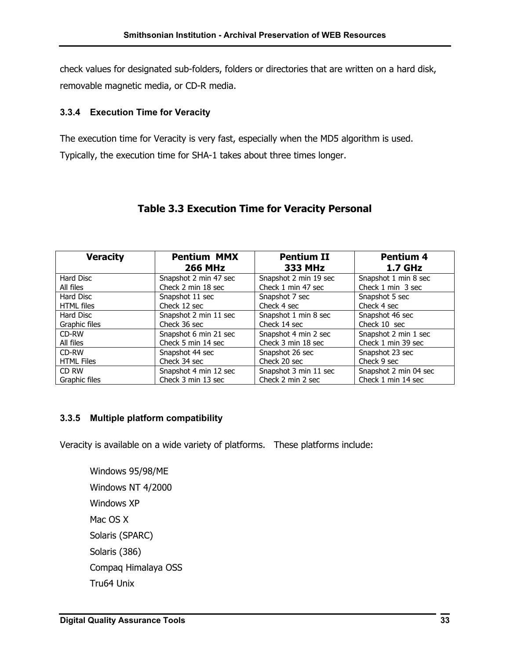<span id="page-35-0"></span>check values for designated sub-folders, folders or directories that are written on a hard disk, removable magnetic media, or CD-R media.

#### **3.3.4 Execution Time for Veracity**

The execution time for Veracity is very fast, especially when the MD5 algorithm is used. Typically, the execution time for SHA-1 takes about three times longer.

| <b>Veracity</b>   | <b>Pentium MMX</b>    | <b>Pentium II</b>     | Pentium 4             |
|-------------------|-----------------------|-----------------------|-----------------------|
|                   | <b>266 MHz</b>        | <b>333 MHz</b>        | <b>1.7 GHz</b>        |
| Hard Disc         | Snapshot 2 min 47 sec | Snapshot 2 min 19 sec | Snapshot 1 min 8 sec  |
| All files         | Check 2 min 18 sec    | Check 1 min 47 sec    | Check 1 min 3 sec     |
| Hard Disc         | Snapshot 11 sec       | Snapshot 7 sec        | Snapshot 5 sec        |
| <b>HTML</b> files | Check 12 sec          | Check 4 sec           | Check 4 sec           |
| Hard Disc         | Snapshot 2 min 11 sec | Snapshot 1 min 8 sec  | Snapshot 46 sec       |
| Graphic files     | Check 36 sec          | Check 14 sec          | Check 10 sec          |
| CD-RW             | Snapshot 6 min 21 sec | Snapshot 4 min 2 sec  | Snapshot 2 min 1 sec  |
| All files         | Check 5 min 14 sec    | Check 3 min 18 sec    | Check 1 min 39 sec    |
| CD-RW             | Snapshot 44 sec       | Snapshot 26 sec       | Snapshot 23 sec       |
| <b>HTML Files</b> | Check 34 sec          | Check 20 sec          | Check 9 sec           |
| CD RW             | Snapshot 4 min 12 sec | Snapshot 3 min 11 sec | Snapshot 2 min 04 sec |
| Graphic files     | Check 3 min 13 sec    | Check 2 min 2 sec     | Check 1 min 14 sec    |

### **Table 3.3 Execution Time for Veracity Personal**

#### **3.3.5 Multiple platform compatibility**

Veracity is available on a wide variety of platforms. These platforms include:

Windows 95/98/ME Windows NT 4/2000 Windows XP Mac OS X Solaris (SPARC) Solaris (386) Compaq Himalaya OSS Tru64 Unix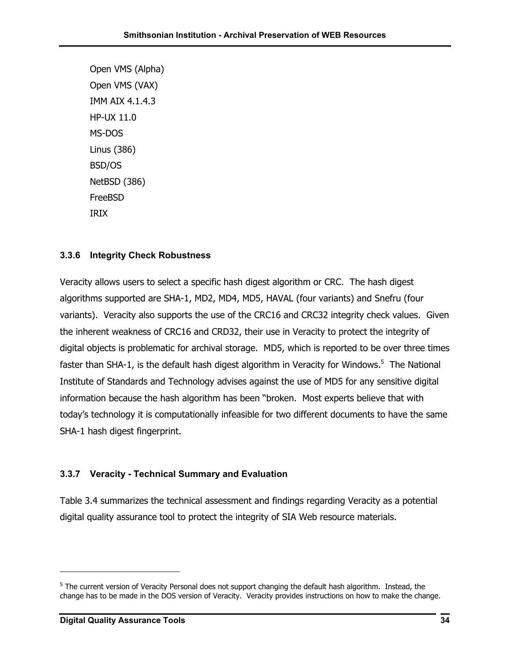<span id="page-36-0"></span>Open VMS (Alpha) Open VMS (VAX) IMM AIX 4.1.4.3 HP-UX 11.0 MS-DOS Linus (386) BSD/OS NetBSD (386) FreeBSD IRIX

#### **3.3.6 Integrity Check Robustness**

Veracity allows users to select a specific hash digest algorithm or CRC. The hash digest algorithms supported are SHA-1, MD2, MD4, MD5, HAVAL (four variants) and Snefru (four variants). Veracity also supports the use of the CRC16 and CRC32 integrity check values. Given the inherent weakness of CRC16 and CRD32, their use in Veracity to protect the integrity of digital objects is problematic for archival storage. MD5, which is reported to be over three times faster than SHA-1, is the default hash digest algorithm in Veracity for Windows.<sup>5</sup> The National Institute of Standards and Technology advises against the use of MD5 for any sensitive digital information because the hash algorithm has been "broken. Most experts believe that with today's technology it is computationally infeasible for two different documents to have the same SHA-1 hash digest fingerprint.

#### **3.3.7 Veracity - Technical Summary and Evaluation**

Table 3.4 summarizes the technical assessment and findings regarding Veracity as a potential digital quality assurance tool to protect the integrity of SIA Web resource materials.

<span id="page-36-1"></span><sup>&</sup>lt;sup>5</sup> The current version of Veracity Personal does not support changing the default hash algorithm. Instead, the change has to be made in the DOS version of Veracity. Veracity provides instructions on how to make the change.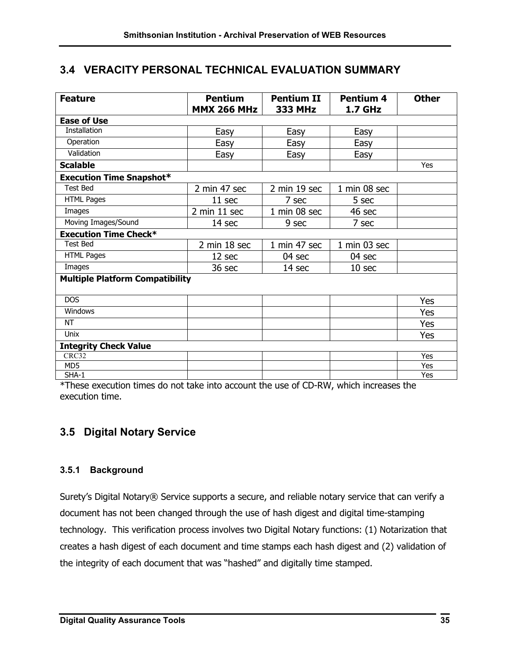## <span id="page-37-0"></span>**3.4 VERACITY PERSONAL TECHNICAL EVALUATION SUMMARY**

| <b>Feature</b>                         | <b>Pentium</b><br><b>MMX 266 MHz</b> | <b>Pentium II</b> | Pentium 4         | <b>Other</b> |
|----------------------------------------|--------------------------------------|-------------------|-------------------|--------------|
| <b>Ease of Use</b>                     |                                      | <b>333 MHz</b>    | <b>1.7 GHz</b>    |              |
| <b>Installation</b>                    |                                      |                   |                   |              |
|                                        | Easy                                 | Easy              | Easy              |              |
| Operation                              | Easy                                 | Easy              | Easy              |              |
| Validation                             | Easy                                 | Easy              | Easy              |              |
| <b>Scalable</b>                        |                                      |                   |                   | Yes          |
| <b>Execution Time Snapshot*</b>        |                                      |                   |                   |              |
| <b>Test Bed</b>                        | 2 min 47 sec                         | 2 min 19 sec      | 1 min 08 sec      |              |
| <b>HTML Pages</b>                      | 11 sec                               | 7 sec             | 5 sec             |              |
| Images                                 | 2 min 11 sec                         | 1 min 08 sec      | 46 sec            |              |
| Moving Images/Sound                    | 14 sec                               | 9 sec             | 7 sec             |              |
| <b>Execution Time Check*</b>           |                                      |                   |                   |              |
| <b>Test Bed</b>                        | 2 min 18 sec                         | 1 min 47 sec      | $1$ min 03 sec    |              |
| <b>HTML Pages</b>                      | 12 sec                               | 04 sec            | 04 sec            |              |
| Images                                 | 36 sec                               | 14 sec            | 10 <sub>sec</sub> |              |
| <b>Multiple Platform Compatibility</b> |                                      |                   |                   |              |
| <b>DOS</b>                             |                                      |                   |                   | Yes          |
| Windows                                |                                      |                   |                   | Yes          |
| <b>NT</b>                              |                                      |                   |                   | Yes          |
| Unix                                   |                                      |                   |                   | Yes          |
| <b>Integrity Check Value</b>           |                                      |                   |                   |              |
| CRC32                                  |                                      |                   |                   | Yes          |
| MD5                                    |                                      |                   |                   | Yes          |
| $SHA-1$                                |                                      |                   |                   | Yes          |

\*These execution times do not take into account the use of CD-RW, which increases the execution time.

## **3.5 Digital Notary Service**

#### **3.5.1 Background**

Surety's Digital Notary® Service supports a secure, and reliable notary service that can verify a document has not been changed through the use of hash digest and digital time-stamping technology. This verification process involves two Digital Notary functions: (1) Notarization that creates a hash digest of each document and time stamps each hash digest and (2) validation of the integrity of each document that was "hashed" and digitally time stamped.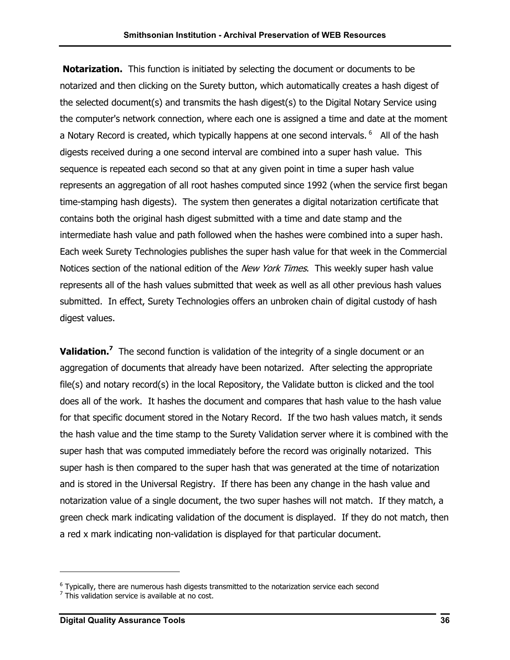**Notarization.** This function is initiated by selecting the document or documents to be notarized and then clicking on the Surety button, which automatically creates a hash digest of the selected document(s) and transmits the hash digest(s) to the Digital Notary Service using the computer's network connection, where each one is assigned a time and date at the moment a Notary Record is created, which typically happens at one second intervals. <sup>6</sup> All of the hash digests received during a one second interval are combined into a super hash value. This sequence is repeated each second so that at any given point in time a super hash value represents an aggregation of all root hashes computed since 1992 (when the service first began time-stamping hash digests). The system then generates a digital notarization certificate that contains both the original hash digest submitted with a time and date stamp and the intermediate hash value and path followed when the hashes were combined into a super hash. Each week Surety Technologies publishes the super hash value for that week in the Commercial Notices section of the national edition of the *New York Times*. This weekly super hash value represents all of the hash values submitted that week as well as all other previous hash values submitted. In effect, Surety Technologies offers an unbroken chain of digital custody of hash digest values.

**Validation[.7](#page-38-1)** The second function is validation of the integrity of a single document or an aggregation of documents that already have been notarized. After selecting the appropriate file(s) and notary record(s) in the local Repository, the Validate button is clicked and the tool does all of the work. It hashes the document and compares that hash value to the hash value for that specific document stored in the Notary Record. If the two hash values match, it sends the hash value and the time stamp to the Surety Validation server where it is combined with the super hash that was computed immediately before the record was originally notarized. This super hash is then compared to the super hash that was generated at the time of notarization and is stored in the Universal Registry. If there has been any change in the hash value and notarization value of a single document, the two super hashes will not match. If they match, a green check mark indicating validation of the document is displayed. If they do not match, then a red x mark indicating non-validation is displayed for that particular document.

<span id="page-38-0"></span><sup>&</sup>lt;sup>6</sup> Typically, there are numerous hash digests transmitted to the notarization service each second  $^7$  This validation service is available at no sect.

<span id="page-38-1"></span> $7$  This validation service is available at no cost.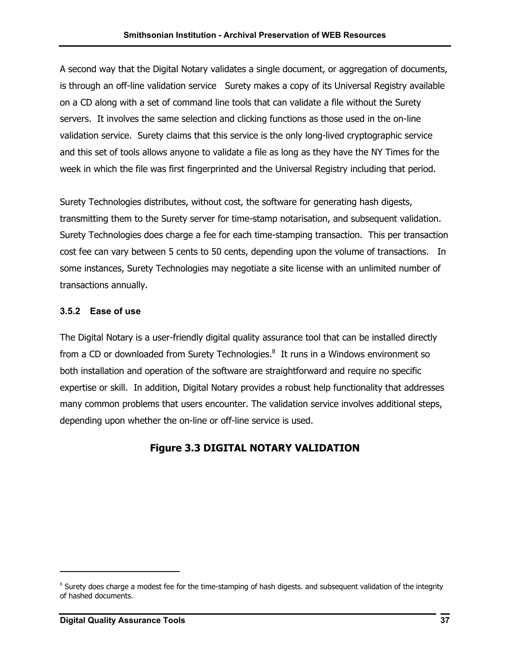<span id="page-39-0"></span>A second way that the Digital Notary validates a single document, or aggregation of documents, is through an off-line validation service Surety makes a copy of its Universal Registry available on a CD along with a set of command line tools that can validate a file without the Surety servers. It involves the same selection and clicking functions as those used in the on-line validation service. Surety claims that this service is the only long-lived cryptographic service and this set of tools allows anyone to validate a file as long as they have the NY Times for the week in which the file was first fingerprinted and the Universal Registry including that period.

Surety Technologies distributes, without cost, the software for generating hash digests, transmitting them to the Surety server for time-stamp notarisation, and subsequent validation. Surety Technologies does charge a fee for each time-stamping transaction. This per transaction cost fee can vary between 5 cents to 50 cents, depending upon the volume of transactions. In some instances, Surety Technologies may negotiate a site license with an unlimited number of transactions annually.

### **3.5.2 Ease of use**

The Digital Notary is a user-friendly digital quality assurance tool that can be installed directly from a CD or downloaded from Surety Technologies. $^8$  $^8$  It runs in a Windows environment so both installation and operation of the software are straightforward and require no specific expertise or skill. In addition, Digital Notary provides a robust help functionality that addresses many common problems that users encounter. The validation service involves additional steps, depending upon whether the on-line or off-line service is used.

## **Figure 3.3 DIGITAL NOTARY VALIDATION**

<span id="page-39-1"></span> $8$  Surety does charge a modest fee for the time-stamping of hash digests. and subsequent validation of the integrity of hashed documents.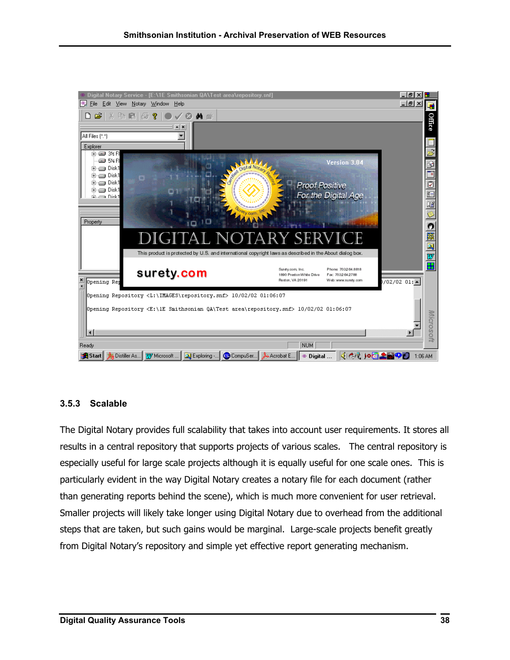<span id="page-40-0"></span>

#### **3.5.3 Scalable**

The Digital Notary provides full scalability that takes into account user requirements. It stores all results in a central repository that supports projects of various scales. The central repository is especially useful for large scale projects although it is equally useful for one scale ones. This is particularly evident in the way Digital Notary creates a notary file for each document (rather than generating reports behind the scene), which is much more convenient for user retrieval. Smaller projects will likely take longer using Digital Notary due to overhead from the additional steps that are taken, but such gains would be marginal. Large-scale projects benefit greatly from Digital Notary's repository and simple yet effective report generating mechanism.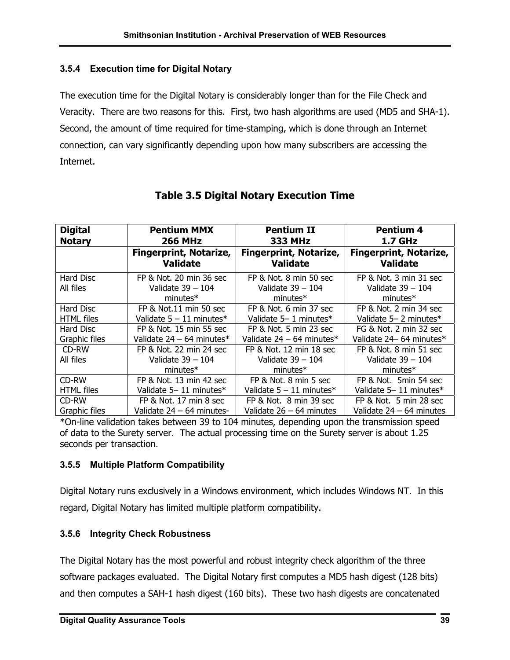#### <span id="page-41-0"></span>**3.5.4 Execution time for Digital Notary**

The execution time for the Digital Notary is considerably longer than for the File Check and Veracity. There are two reasons for this. First, two hash algorithms are used (MD5 and SHA-1). Second, the amount of time required for time-stamping, which is done through an Internet connection, can vary significantly depending upon how many subscribers are accessing the Internet.

| <b>Digital</b><br><b>Notary</b> | <b>Pentium MMX</b><br><b>266 MHz</b>                         | <b>Pentium II</b><br><b>333 MHz</b>                         | <b>Pentium 4</b><br><b>1.7 GHz</b>                          |
|---------------------------------|--------------------------------------------------------------|-------------------------------------------------------------|-------------------------------------------------------------|
|                                 | <b>Fingerprint, Notarize,</b><br><b>Validate</b>             | <b>Fingerprint, Notarize,</b><br><b>Validate</b>            | <b>Fingerprint, Notarize,</b><br><b>Validate</b>            |
| Hard Disc<br>All files          | FP & Not. 20 min 36 sec<br>Validate $39 - 104$<br>$minutes*$ | FP & Not. 8 min 50 sec<br>Validate $39 - 104$<br>$minutes*$ | FP & Not. 3 min 31 sec<br>Validate $39 - 104$<br>$minutes*$ |
| Hard Disc<br>HTML files         | FP & Not.11 min 50 sec<br>Validate $5 - 11$ minutes*         | FP & Not. 6 min 37 sec<br>Validate 5-1 minutes*             | FP & Not. 2 min 34 sec<br>Validate 5-2 minutes*             |
| Hard Disc<br>Graphic files      | FP & Not. 15 min 55 sec<br>Validate $24 - 64$ minutes*       | FP & Not. 5 min 23 sec<br>Validate $24 - 64$ minutes*       | FG & Not. 2 min 32 sec<br>Validate 24-64 minutes*           |
| CD-RW<br>All files              | FP & Not. 22 min 24 sec<br>Validate 39 - 104<br>$minutes*$   | FP & Not. 12 min 18 sec<br>Validate 39 - 104<br>$minutes*$  | FP & Not, 8 min 51 sec<br>Validate $39 - 104$<br>$minutes*$ |
| CD-RW                           | FP & Not. 13 min 42 sec                                      | FP & Not. 8 min 5 sec                                       | FP & Not. 5min 54 sec                                       |
| HTML files                      | Validate 5-11 minutes*                                       | Validate $5 - 11$ minutes*                                  | Validate 5-11 minutes*                                      |
| CD-RW                           | FP & Not. 17 min 8 sec                                       | FP & Not. 8 min 39 sec                                      | FP & Not. 5 min 28 sec                                      |
| Graphic files                   | Validate 24 - 64 minutes-                                    | Validate 26 – 64 minutes                                    | Validate $24 - 64$ minutes                                  |

### **Table 3.5 Digital Notary Execution Time**

\*On-line validation takes between 39 to 104 minutes, depending upon the transmission speed of data to the Surety server. The actual processing time on the Surety server is about 1.25 seconds per transaction.

#### **3.5.5 Multiple Platform Compatibility**

Digital Notary runs exclusively in a Windows environment, which includes Windows NT. In this regard, Digital Notary has limited multiple platform compatibility.

#### **3.5.6 Integrity Check Robustness**

The Digital Notary has the most powerful and robust integrity check algorithm of the three software packages evaluated. The Digital Notary first computes a MD5 hash digest (128 bits) and then computes a SAH-1 hash digest (160 bits). These two hash digests are concatenated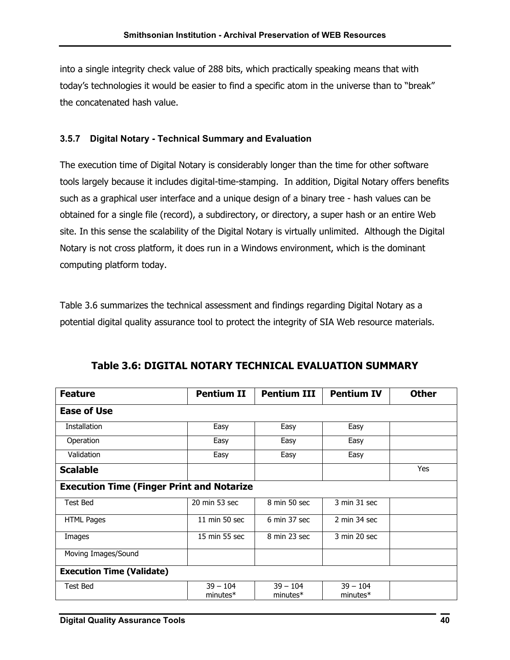<span id="page-42-0"></span>into a single integrity check value of 288 bits, which practically speaking means that with today's technologies it would be easier to find a specific atom in the universe than to "break" the concatenated hash value.

#### **3.5.7 Digital Notary - Technical Summary and Evaluation**

The execution time of Digital Notary is considerably longer than the time for other software tools largely because it includes digital-time-stamping. In addition, Digital Notary offers benefits such as a graphical user interface and a unique design of a binary tree - hash values can be obtained for a single file (record), a subdirectory, or directory, a super hash or an entire Web site. In this sense the scalability of the Digital Notary is virtually unlimited. Although the Digital Notary is not cross platform, it does run in a Windows environment, which is the dominant computing platform today.

Table 3.6 summarizes the technical assessment and findings regarding Digital Notary as a potential digital quality assurance tool to protect the integrity of SIA Web resource materials.

| <b>Feature</b>                                   | <b>Pentium II</b>        | <b>Pentium III</b>       | <b>Pentium IV</b>               | <b>Other</b> |  |  |
|--------------------------------------------------|--------------------------|--------------------------|---------------------------------|--------------|--|--|
| <b>Ease of Use</b>                               |                          |                          |                                 |              |  |  |
| <b>Installation</b>                              | Easy                     | Easy                     | Easy                            |              |  |  |
| Operation                                        | Easy                     | Easy                     | Easy                            |              |  |  |
| Validation                                       | Easy                     | Easy                     | Easy                            |              |  |  |
| <b>Scalable</b>                                  |                          |                          |                                 | Yes          |  |  |
| <b>Execution Time (Finger Print and Notarize</b> |                          |                          |                                 |              |  |  |
| Test Bed                                         | 20 min 53 sec            | 8 min 50 sec             | 3 min 31 sec                    |              |  |  |
| <b>HTML Pages</b>                                | $11$ min 50 sec          | 6 min 37 sec             | $2 \text{ min } 34 \text{ sec}$ |              |  |  |
| Images                                           | 15 min 55 sec            | 8 min 23 sec             | 3 min 20 sec                    |              |  |  |
| Moving Images/Sound                              |                          |                          |                                 |              |  |  |
| <b>Execution Time (Validate)</b>                 |                          |                          |                                 |              |  |  |
| Test Bed                                         | $39 - 104$<br>$minutes*$ | $39 - 104$<br>$minutes*$ | $39 - 104$<br>$minutes*$        |              |  |  |

**Table 3.6: DIGITAL NOTARY TECHNICAL EVALUATION SUMMARY**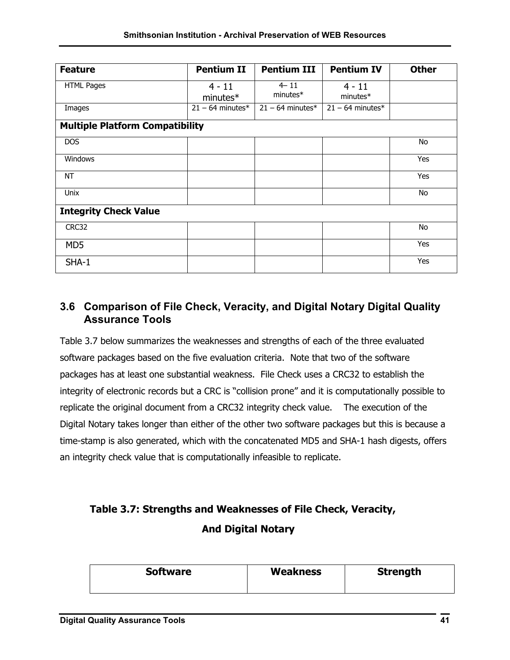<span id="page-43-0"></span>

| <b>Feature</b>                         | <b>Pentium II</b>      | <b>Pentium III</b>   | <b>Pentium IV</b>      | <b>Other</b> |  |  |
|----------------------------------------|------------------------|----------------------|------------------------|--------------|--|--|
| <b>HTML Pages</b>                      | $4 - 11$<br>$minutes*$ | $4 - 11$<br>minutes* | $4 - 11$<br>$minutes*$ |              |  |  |
| Images                                 | $21 - 64$ minutes*     | $21 - 64$ minutes*   | $21 - 64$ minutes*     |              |  |  |
| <b>Multiple Platform Compatibility</b> |                        |                      |                        |              |  |  |
| DOS                                    |                        |                      |                        | No           |  |  |
| Windows                                |                        |                      |                        | Yes          |  |  |
| <b>NT</b>                              |                        |                      |                        | Yes          |  |  |
| Unix                                   |                        |                      |                        | No           |  |  |
| <b>Integrity Check Value</b>           |                        |                      |                        |              |  |  |
| CRC32                                  |                        |                      |                        | No           |  |  |
| MD <sub>5</sub>                        |                        |                      |                        | Yes          |  |  |
| SHA-1                                  |                        |                      |                        | Yes          |  |  |

## **3.6 Comparison of File Check, Veracity, and Digital Notary Digital Quality Assurance Tools**

Table 3.7 below summarizes the weaknesses and strengths of each of the three evaluated software packages based on the five evaluation criteria. Note that two of the software packages has at least one substantial weakness. File Check uses a CRC32 to establish the integrity of electronic records but a CRC is "collision prone" and it is computationally possible to replicate the original document from a CRC32 integrity check value. The execution of the Digital Notary takes longer than either of the other two software packages but this is because a time-stamp is also generated, which with the concatenated MD5 and SHA-1 hash digests, offers an integrity check value that is computationally infeasible to replicate.

## **Table 3.7: Strengths and Weaknesses of File Check, Veracity, And Digital Notary**

| <b>Software</b> | <b>Weakness</b> | <b>Strength</b> |
|-----------------|-----------------|-----------------|
|-----------------|-----------------|-----------------|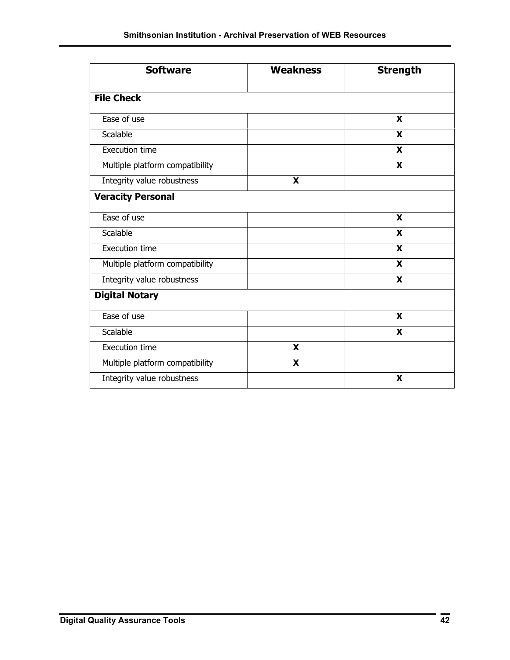| <b>Software</b>                 | <b>Weakness</b> | <b>Strength</b> |  |  |
|---------------------------------|-----------------|-----------------|--|--|
| <b>File Check</b>               |                 |                 |  |  |
| Ease of use                     |                 | X               |  |  |
| Scalable                        |                 | X               |  |  |
| <b>Execution time</b>           |                 | X               |  |  |
| Multiple platform compatibility |                 | X               |  |  |
| Integrity value robustness      | X               |                 |  |  |
| <b>Veracity Personal</b>        |                 |                 |  |  |
| Ease of use                     |                 | X               |  |  |
| Scalable                        |                 | X               |  |  |
| <b>Execution time</b>           |                 | X               |  |  |
| Multiple platform compatibility |                 | X               |  |  |
| Integrity value robustness      |                 | X               |  |  |
| <b>Digital Notary</b>           |                 |                 |  |  |
| Ease of use                     |                 | X               |  |  |
| Scalable                        |                 | X               |  |  |
| <b>Execution time</b>           | X               |                 |  |  |
| Multiple platform compatibility | X               |                 |  |  |
| Integrity value robustness      |                 | X               |  |  |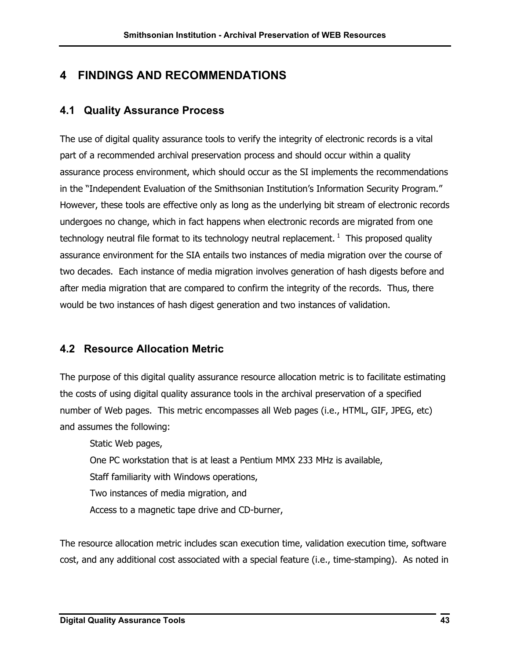## <span id="page-45-0"></span>**4 FINDINGS AND RECOMMENDATIONS**

## **4.1 Quality Assurance Process**

The use of digital quality assurance tools to verify the integrity of electronic records is a vital part of a recommended archival preservation process and should occur within a quality assurance process environment, which should occur as the SI implements the recommendations in the "Independent Evaluation of the Smithsonian Institution's Information Security Program." However, these tools are effective only as long as the underlying bit stream of electronic records undergoes no change, which in fact happens when electronic records are migrated from one technology neutral file format to its technology neutral replacement.<sup>1</sup> This proposed quality assurance environment for the SIA entails two instances of media migration over the course of two decades. Each instance of media migration involves generation of hash digests before and after media migration that are compared to confirm the integrity of the records. Thus, there would be two instances of hash digest generation and two instances of validation.

## **4.2 Resource Allocation Metric**

The purpose of this digital quality assurance resource allocation metric is to facilitate estimating the costs of using digital quality assurance tools in the archival preservation of a specified number of Web pages. This metric encompasses all Web pages (i.e., HTML, GIF, JPEG, etc) and assumes the following:

Static Web pages, One PC workstation that is at least a Pentium MMX 233 MHz is available, Staff familiarity with Windows operations, Two instances of media migration, and Access to a magnetic tape drive and CD-burner,

<span id="page-45-1"></span>The resource allocation metric includes scan execution time, validation execution time, software cost, and any additional cost associated with a special feature (i.e., time-stamping). As noted in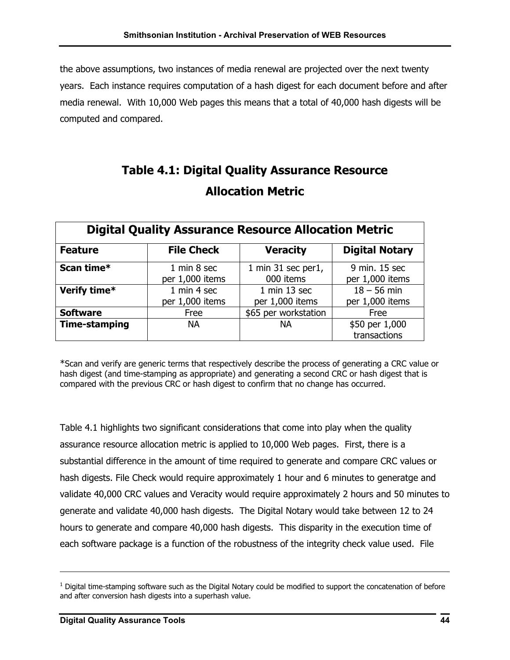the above assumptions, two instances of media renewal are projected over the next twenty years. Each instance requires computation of a hash digest for each document before and after media renewal. With 10,000 Web pages this means that a total of 40,000 hash digests will be computed and compared.

## **Table 4.1: Digital Quality Assurance Resource Allocation Metric**

| <b>Digital Quality Assurance Resource Allocation Metric</b> |                                |                                     |                                  |  |  |  |
|-------------------------------------------------------------|--------------------------------|-------------------------------------|----------------------------------|--|--|--|
| <b>Feature</b>                                              | <b>File Check</b>              | <b>Veracity</b>                     | <b>Digital Notary</b>            |  |  |  |
| Scan time*                                                  | 1 min 8 sec<br>per 1,000 items | 1 min 31 sec per1,<br>000 items     | 9 min. 15 sec<br>per 1,000 items |  |  |  |
| Verify time*                                                | 1 min 4 sec<br>per 1,000 items | $1$ min $13$ sec<br>per 1,000 items | $18 - 56$ min<br>per 1,000 items |  |  |  |
| <b>Software</b>                                             | Free                           | \$65 per workstation                | Free                             |  |  |  |
| <b>Time-stamping</b>                                        | <b>NA</b>                      | <b>NA</b>                           | \$50 per 1,000<br>transactions   |  |  |  |

\*Scan and verify are generic terms that respectively describe the process of generating a CRC value or hash digest (and time-stamping as appropriate) and generating a second CRC or hash digest that is compared with the previous CRC or hash digest to confirm that no change has occurred.

Table 4.1 highlights two significant considerations that come into play when the quality assurance resource allocation metric is applied to 10,000 Web pages. First, there is a substantial difference in the amount of time required to generate and compare CRC values or hash digests. File Check would require approximately 1 hour and 6 minutes to generatge and validate 40,000 CRC values and Veracity would require approximately 2 hours and 50 minutes to generate and validate 40,000 hash digests. The Digital Notary would take between 12 to 24 hours to generate and compare 40,000 hash digests. This disparity in the execution time of each software package is a function of the robustness of the integrity check value used. File

 $<sup>1</sup>$  Digital time-stamping software such as the Digital Notary could be modified to support the concatenation of before</sup> and after conversion hash digests into a superhash value.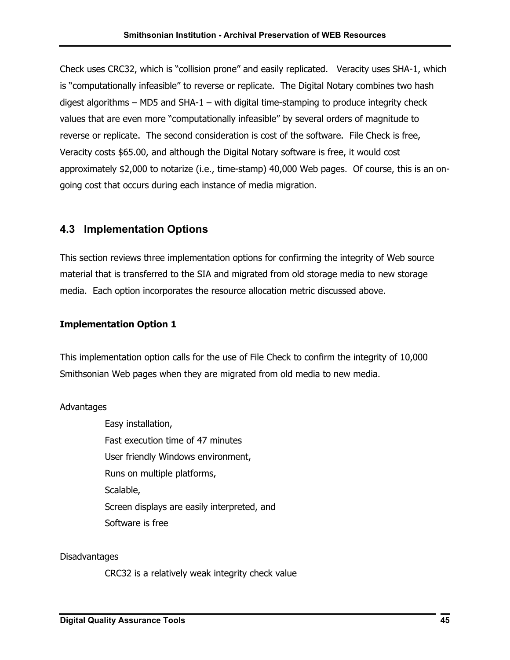<span id="page-47-0"></span>Check uses CRC32, which is "collision prone" and easily replicated. Veracity uses SHA-1, which is "computationally infeasible" to reverse or replicate. The Digital Notary combines two hash digest algorithms – MD5 and  $SHA-1$  – with digital time-stamping to produce integrity check values that are even more "computationally infeasible" by several orders of magnitude to reverse or replicate. The second consideration is cost of the software. File Check is free, Veracity costs \$65.00, and although the Digital Notary software is free, it would cost approximately \$2,000 to notarize (i.e., time-stamp) 40,000 Web pages. Of course, this is an ongoing cost that occurs during each instance of media migration.

### **4.3 Implementation Options**

This section reviews three implementation options for confirming the integrity of Web source material that is transferred to the SIA and migrated from old storage media to new storage media. Each option incorporates the resource allocation metric discussed above.

#### **Implementation Option 1**

This implementation option calls for the use of File Check to confirm the integrity of 10,000 Smithsonian Web pages when they are migrated from old media to new media.

#### Advantages

Easy installation, Fast execution time of 47 minutes User friendly Windows environment, Runs on multiple platforms, Scalable, Screen displays are easily interpreted, and Software is free

Disadvantages

CRC32 is a relatively weak integrity check value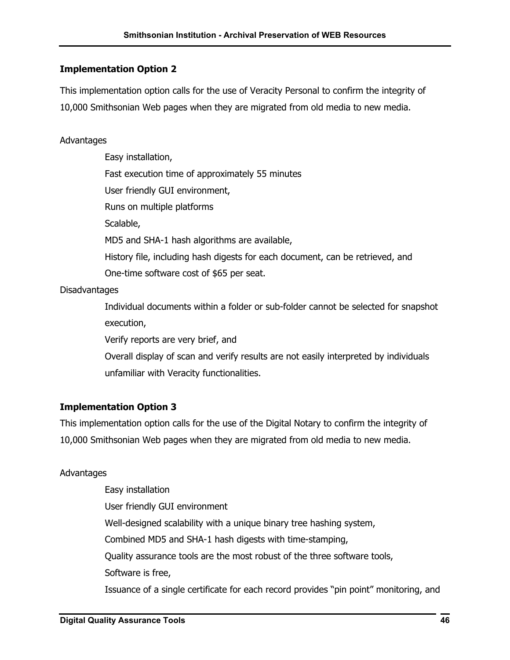#### **Implementation Option 2**

This implementation option calls for the use of Veracity Personal to confirm the integrity of 10,000 Smithsonian Web pages when they are migrated from old media to new media.

#### Advantages

Easy installation, Fast execution time of approximately 55 minutes User friendly GUI environment, Runs on multiple platforms Scalable, MD5 and SHA-1 hash algorithms are available, History file, including hash digests for each document, can be retrieved, and One-time software cost of \$65 per seat.

#### **Disadvantages**

Individual documents within a folder or sub-folder cannot be selected for snapshot execution,

Verify reports are very brief, and

Overall display of scan and verify results are not easily interpreted by individuals unfamiliar with Veracity functionalities.

#### **Implementation Option 3**

This implementation option calls for the use of the Digital Notary to confirm the integrity of 10,000 Smithsonian Web pages when they are migrated from old media to new media.

#### Advantages

Easy installation User friendly GUI environment Well-designed scalability with a unique binary tree hashing system, Combined MD5 and SHA-1 hash digests with time-stamping, Quality assurance tools are the most robust of the three software tools, Software is free, Issuance of a single certificate for each record provides "pin point" monitoring, and